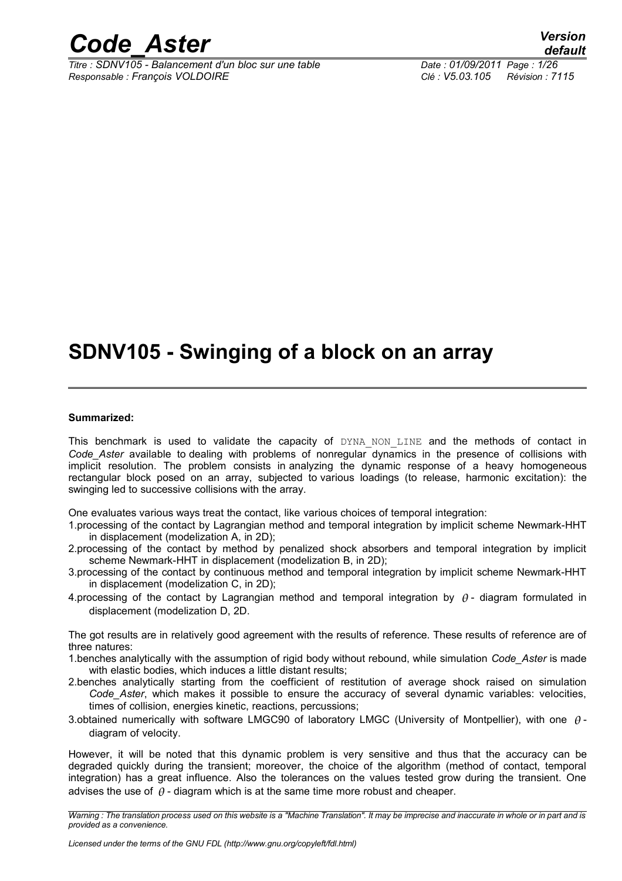

*Titre : SDNV105 - Balancement d'un bloc sur une table Date : 01/09/2011 Page : 1/26 Responsable : François VOLDOIRE Clé : V5.03.105 Révision : 7115*

*default*

### **SDNV105 - Swinging of a block on an array**

#### **Summarized:**

This benchmark is used to validate the capacity of DYNA NON LINE and the methods of contact in *Code\_Aster* available to dealing with problems of nonregular dynamics in the presence of collisions with implicit resolution. The problem consists in analyzing the dynamic response of a heavy homogeneous rectangular block posed on an array, subjected to various loadings (to release, harmonic excitation): the swinging led to successive collisions with the array.

One evaluates various ways treat the contact, like various choices of temporal integration:

- 1.processing of the contact by Lagrangian method and temporal integration by implicit scheme Newmark-HHT in displacement (modelization A, in 2D);
- 2.processing of the contact by method by penalized shock absorbers and temporal integration by implicit scheme Newmark-HHT in displacement (modelization B, in 2D);
- 3.processing of the contact by continuous method and temporal integration by implicit scheme Newmark-HHT in displacement (modelization C, in 2D);
- 4.processing of the contact by Lagrangian method and temporal integration by  $\theta$  diagram formulated in displacement (modelization D, 2D.

The got results are in relatively good agreement with the results of reference. These results of reference are of three natures:

- 1.benches analytically with the assumption of rigid body without rebound, while simulation *Code\_Aster* is made with elastic bodies, which induces a little distant results;
- 2.benches analytically starting from the coefficient of restitution of average shock raised on simulation *Code\_Aster*, which makes it possible to ensure the accuracy of several dynamic variables: velocities, times of collision, energies kinetic, reactions, percussions;
- 3.obtained numerically with software LMGC90 of laboratory LMGC (University of Montpellier), with one  $\theta$ diagram of velocity.

However, it will be noted that this dynamic problem is very sensitive and thus that the accuracy can be degraded quickly during the transient; moreover, the choice of the algorithm (method of contact, temporal integration) has a great influence. Also the tolerances on the values tested grow during the transient. One advises the use of  $\theta$  - diagram which is at the same time more robust and cheaper.

*Warning : The translation process used on this website is a "Machine Translation". It may be imprecise and inaccurate in whole or in part and is provided as a convenience.*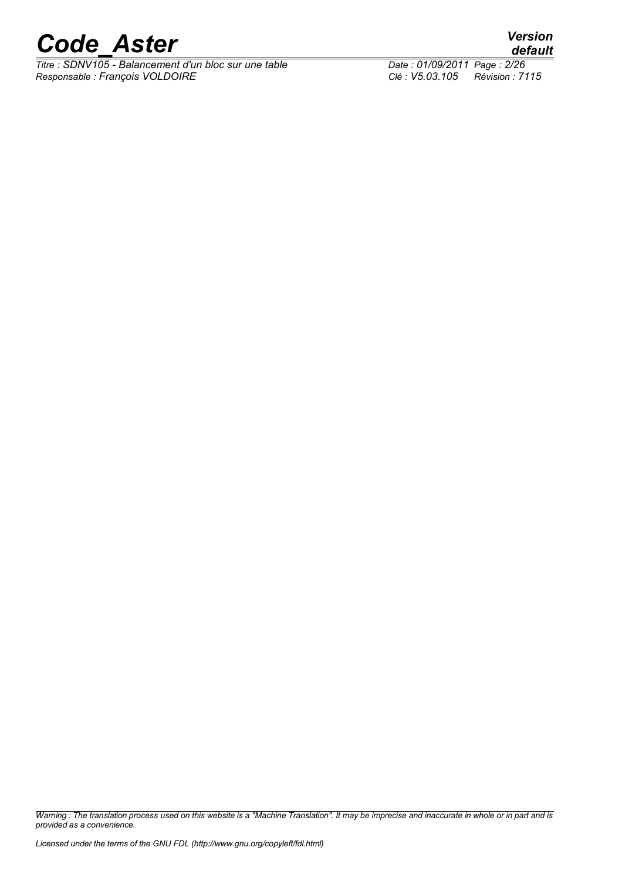*Titre : SDNV105 - Balancement d'un bloc sur une table Date : 01/09/2011 Page : 2/26 Responsable : François VOLDOIRE Clé : V5.03.105 Révision : 7115*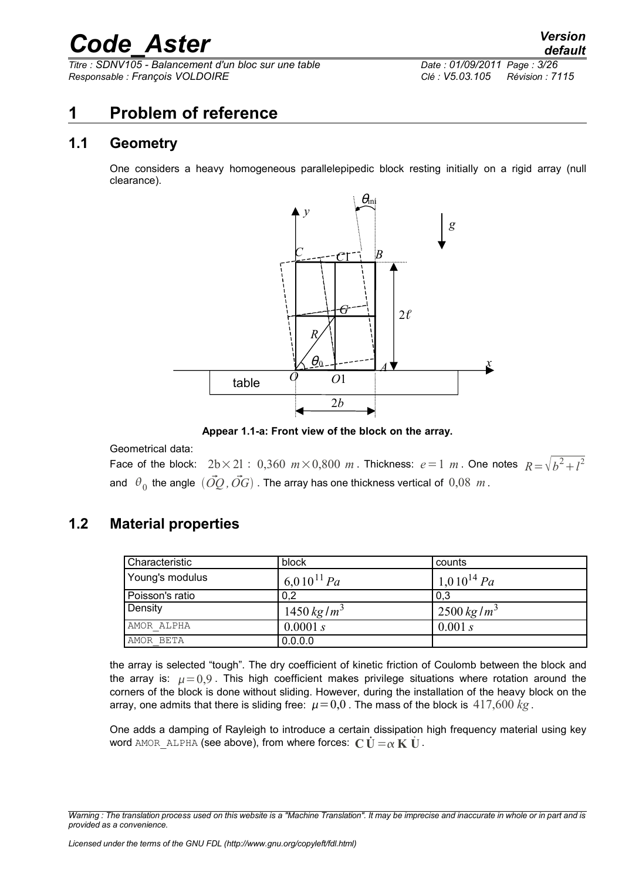*Titre : SDNV105 - Balancement d'un bloc sur une table Date : 01/09/2011 Page : 3/26 Responsable : François VOLDOIRE Clé : V5.03.105 Révision : 7115*

### **1 Problem of reference**

### **1.1 Geometry**

One considers a heavy homogeneous parallelepipedic block resting initially on a rigid array (null clearance).



**Appear 1.1-a: Front view of the block on the array.**

Geometrical data:

Face of the block:  $2b \times 2l$  :  $0,360$   $m \times 0,800$   $m$ . Thickness:  $e=1$   $m$ . One notes  $R = \sqrt{b^2 + l^2}$ and  $\ket{\theta_0}$  the angle  $\ket{\vec{OQ},\vec{O}G}$  . The array has one thickness vertical of  $\ket{0,\!08\!}$   $m$  .

### **1.2 Material properties**

| Characteristic  | block                   | counts          |
|-----------------|-------------------------|-----------------|
| Young's modulus | 6,0 10 <sup>11</sup> Pa | $1,010^{14} Pa$ |
| Poisson's ratio | 0.2                     | 0,3             |
| Density         | 1450 kg / $m^3$         | $2500 \ kg/m^3$ |
| AMOR ALPHA      | 0.0001 s                | 0.001 s         |
| AMOR BETA       | 0.0.0.0                 |                 |

the array is selected "tough". The dry coefficient of kinetic friction of Coulomb between the block and the array is:  $u=0.9$ . This high coefficient makes privilege situations where rotation around the corners of the block is done without sliding. However, during the installation of the heavy block on the array, one admits that there is sliding free:  $\mu = 0.0$ . The mass of the block is 417,600  $kg$ .

One adds a damping of Rayleigh to introduce a certain dissipation high frequency material using key word AMOR ALPHA (see above), from where forces:  $C U = \alpha K U$ .

*Warning : The translation process used on this website is a "Machine Translation". It may be imprecise and inaccurate in whole or in part and is provided as a convenience.*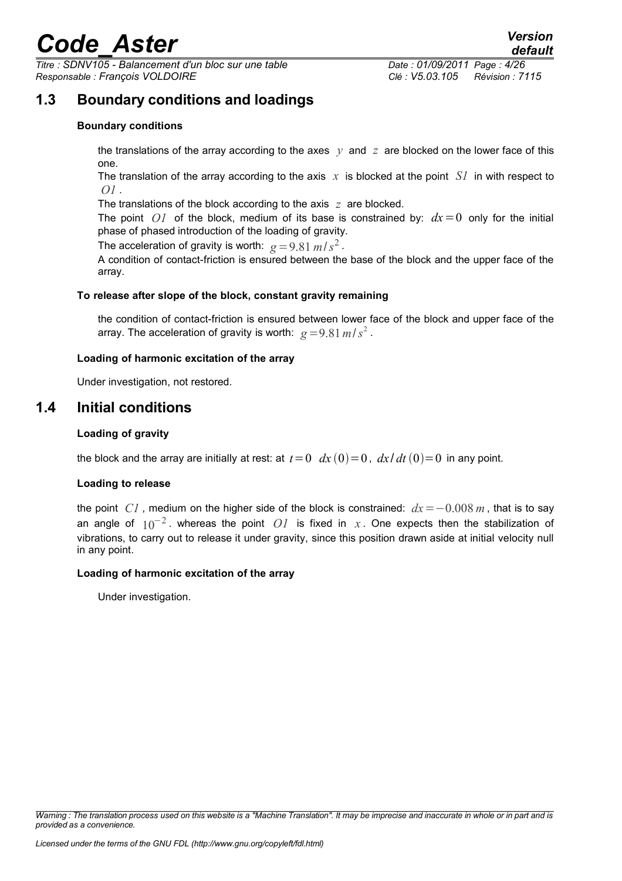*Titre : SDNV105 - Balancement d'un bloc sur une table Date : 01/09/2011 Page : 4/26 Responsable : François VOLDOIRE Clé : V5.03.105 Révision : 7115*

### **1.3 Boundary conditions and loadings**

#### **Boundary conditions**

the translations of the array according to the axes  $y$  and  $z$  are blocked on the lower face of this one.

The translation of the array according to the axis  $x$  is blocked at the point  $SI$  in with respect to *O1* .

The translations of the block according to the axis *z* are blocked.

The point OI of the block, medium of its base is constrained by:  $dx = 0$  only for the initial phase of phased introduction of the loading of gravity.

The acceleration of gravity is worth:  $g = 9.81 \ m/s^2$ .

A condition of contact-friction is ensured between the base of the block and the upper face of the array.

#### **To release after slope of the block, constant gravity remaining**

the condition of contact-friction is ensured between lower face of the block and upper face of the array. The acceleration of gravity is worth:  $g = 9.81 m/s^2$ .

#### **Loading of harmonic excitation of the array**

Under investigation, not restored.

#### **1.4 Initial conditions**

#### **Loading of gravity**

the block and the array are initially at rest: at  $t=0$   $dx(0)=0$ ,  $dx/dt(0)=0$  in any point.

#### **Loading to release**

the point *C1* , medium on the higher side of the block is constrained: *dx*=−0.008 *m* , that is to say an angle of 10−<sup>2</sup> . whereas the point *O1* is fixed in *x* . One expects then the stabilization of vibrations, to carry out to release it under gravity, since this position drawn aside at initial velocity null in any point.

#### **Loading of harmonic excitation of the array**

Under investigation.

*Warning : The translation process used on this website is a "Machine Translation". It may be imprecise and inaccurate in whole or in part and is provided as a convenience.*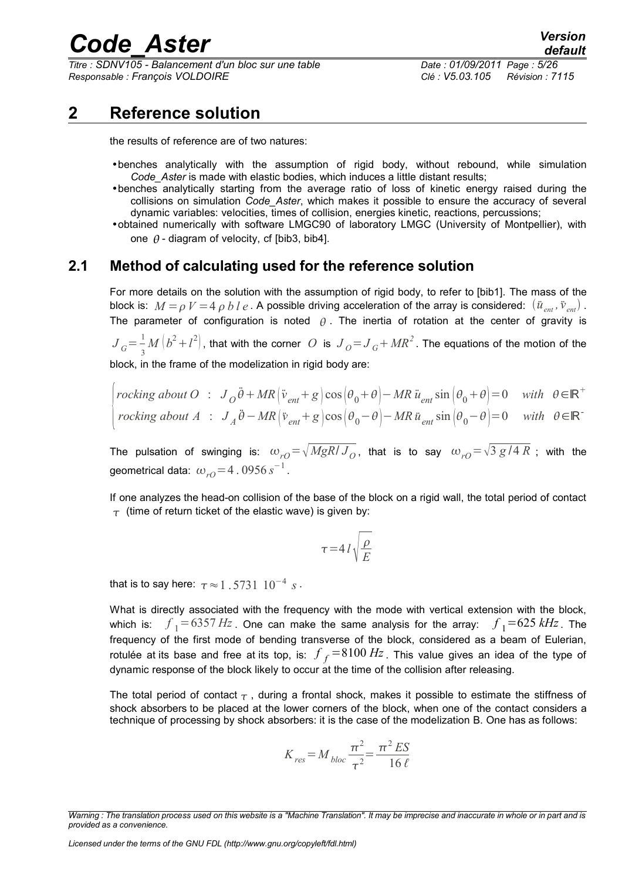*Titre : SDNV105 - Balancement d'un bloc sur une table Date : 01/09/2011 Page : 5/26 Responsable : François VOLDOIRE Clé : V5.03.105 Révision : 7115*

*default*

### **2 Reference solution**

the results of reference are of two natures:

- •benches analytically with the assumption of rigid body, without rebound, while simulation *Code\_Aster* is made with elastic bodies, which induces a little distant results;
- •benches analytically starting from the average ratio of loss of kinetic energy raised during the collisions on simulation *Code\_Aster*, which makes it possible to ensure the accuracy of several dynamic variables: velocities, times of collision, energies kinetic, reactions, percussions;
- •obtained numerically with software LMGC90 of laboratory LMGC (University of Montpellier), with one  $\theta$  - diagram of velocity, cf [bib3, bib4].

#### **2.1 Method of calculating used for the reference solution**

For more details on the solution with the assumption of rigid body, to refer to [bib1]. The mass of the block is:  $M = \rho V = 4 \rho b l e$ . A possible driving acceleration of the array is considered:  $(\ddot{u}_{ent}, \ddot{v}_{ent})$ . The parameter of configuration is noted  $\theta$ . The inertia of rotation at the center of gravity is  $J_{G} = \frac{1}{3}$  $\frac{1}{3}M(b^2+l^2)$ , that with the corner *O* is  $J_{\overline{O}}=J_{\overline{G}}+MR^2$ . The equations of the motion of the

block, in the frame of the modelization in rigid body are:

$$
\begin{vmatrix} \text{rocking about } O & : & J_O \ddot{\theta} + MR \left( \ddot{v}_{ent} + g \right) \cos \left( \theta_0 + \theta \right) - MR \ddot{u}_{ent} \sin \left( \theta_0 + \theta \right) = 0 & \text{with } \theta \in \mathbb{R}^+ \\ \text{rocking about } A & : & J_A \ddot{\theta} - MR \left( \ddot{v}_{ent} + g \right) \cos \left( \theta_0 - \theta \right) - MR \ddot{u}_{ent} \sin \left( \theta_0 - \theta \right) = 0 & \text{with } \theta \in \mathbb{R}^- \end{vmatrix}
$$

The pulsation of swinging is:  $\omega_{rO} \!=\! \sqrt{MgR/J}_{O}$ , that is to say  $\omega_{rO} \!=\! \sqrt{3}\,g/4\,R$  ; with the geometrical data:  $\omega_{rO}^{}\!=\!4$  .  $0956\, s^{-1}$  .

If one analyzes the head-on collision of the base of the block on a rigid wall, the total period of contact  $\tau$  (time of return ticket of the elastic wave) is given by:

$$
\tau = 4 l \sqrt{\frac{\rho}{E}}
$$

that is to say here:  $\tau \! \approx \! 1$  .5731  $\,10^{-4} \,$   $\rm s$  .

What is directly associated with the frequency with the mode with vertical extension with the block, which is:  $f_{\rm 1}$ =6357  $Hz$  . One can make the same analysis for the array:  $f_{\rm 1}$ =625  $kHz$  . The frequency of the first mode of bending transverse of the block, considered as a beam of Eulerian, rotulée at its base and free at its top, is:  $f_{\overline{f}}\!=\!8100\,Hz$  . This value gives an idea of the type of dynamic response of the block likely to occur at the time of the collision after releasing.

The total period of contact  $\tau$ , during a frontal shock, makes it possible to estimate the stiffness of shock absorbers to be placed at the lower corners of the block, when one of the contact considers a technique of processing by shock absorbers: it is the case of the modelization B. One has as follows:

$$
K_{res} = M_{bloc} \frac{\pi^2}{\tau^2} = \frac{\pi^2 \, ES}{16 \, \ell}
$$

*Warning : The translation process used on this website is a "Machine Translation". It may be imprecise and inaccurate in whole or in part and is provided as a convenience.*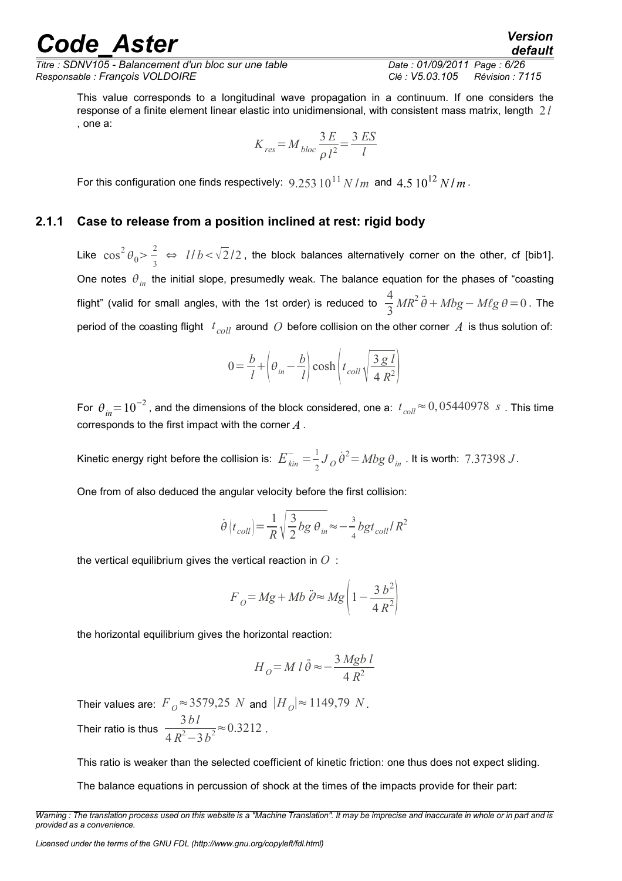*Titre : SDNV105 - Balancement d'un bloc sur une table Date : 01/09/2011 Page : 6/26 Responsable : François VOLDOIRE Clé : V5.03.105 Révision : 7115*

*default*

This value corresponds to a longitudinal wave propagation in a continuum. If one considers the response of a finite element linear elastic into unidimensional, with consistent mass matrix, length 2*l* , one a:

$$
K_{res} = M_{bloc} \frac{3 E}{\rho l^2} = \frac{3 ES}{l}
$$

For this configuration one finds respectively:  $9.253 10^{11} N/m$  and  $4.5 10^{12} N/m$ .

#### **2.1.1 Case to release from a position inclined at rest: rigid body**

Like  $\cos^2\theta_0 > \frac{2}{3}$  $\frac{2}{3}$  ⇔ *l/b* <  $\sqrt{2}/2$ , the block balances alternatively corner on the other, cf [bib1]. One notes  $\theta_{in}$  the initial slope, presumedly weak. The balance equation for the phases of "coasting flight" (valid for small angles, with the 1st order) is reduced to  $\frac{4}{3}$  $\frac{4}{3}MR^2\ddot{\theta} + Mbg - M\ell g\theta = 0$ . The period of the coasting flight  $t$ <sub>coll</sub> around  $O$  before collision on the other corner  $A$  is thus solution of:

$$
0 = \frac{b}{l} + \left(\theta_{in} - \frac{b}{l}\right) \cosh\left(t_{coll} \sqrt{\frac{3 \ g \ l}{4 \ R^2}}\right)
$$

For  $\,\theta_{in}\!=\!10^{-2}$  , and the dimensions of the block considered, one a:  $\,t_{coll}\!\approx\!0,05440978$   $\,s\,$  . This time corresponds to the first impact with the corner *A* .

Kinetic energy right before the collision is:  $E_{\textrm{kin}}^{-}=\frac{1}{2}$  $\frac{1}{2}J_{O}\dot{\theta}^{2}$  = *Mbg*  $\theta_{in}$  . It is worth: 7.37398 *J*.

One from of also deduced the angular velocity before the first collision:

$$
\dot{\theta}\left(t_{coll}\right) = \frac{1}{R} \sqrt{\frac{3}{2} bg \theta_{in}} \approx -\frac{3}{4} bg t_{coll} / R^2
$$

the vertical equilibrium gives the vertical reaction in *O* :

$$
F_O = Mg + Mb \ddot{\theta} \approx Mg \left(1 - \frac{3 b^2}{4 R^2}\right)
$$

the horizontal equilibrium gives the horizontal reaction:

$$
H_0 = M l \ddot{\theta} \approx -\frac{3 M g b l}{4 R^2}
$$

Their values are:  $\overline{F}_O \! \approx \! 3579{,}25 \,$   $N$  and  $\, |H_O| \! \approx \! 1149{,}79 \,$   $N$  .

Their ratio is thus  $\frac{3 bl}{\sqrt{2}}$  $\frac{3b}{4R^2-3b^2}$ ≈0.3212.

This ratio is weaker than the selected coefficient of kinetic friction: one thus does not expect sliding.

The balance equations in percussion of shock at the times of the impacts provide for their part:

*Warning : The translation process used on this website is a "Machine Translation". It may be imprecise and inaccurate in whole or in part and is provided as a convenience.*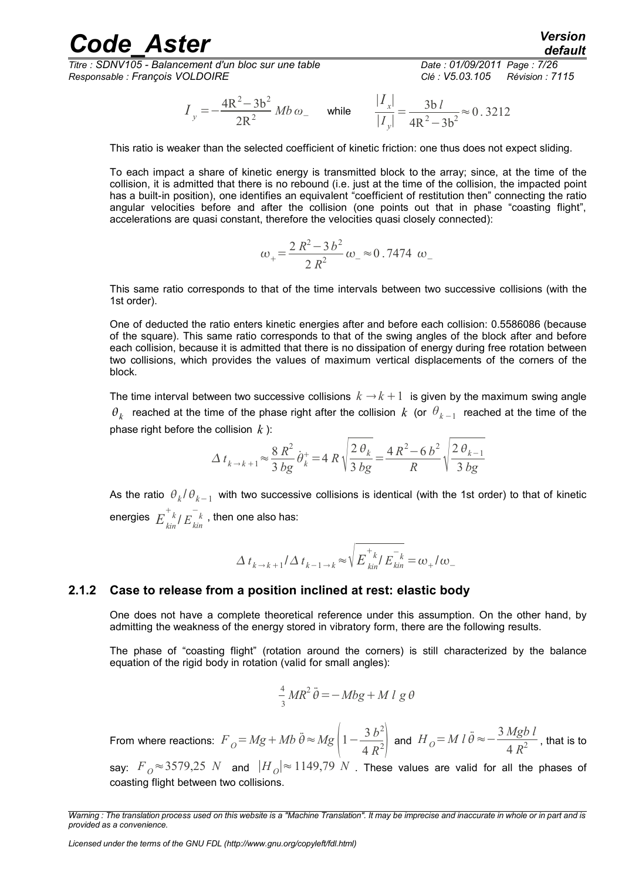*Titre : SDNV105 - Balancement d'un bloc sur une table Date : 01/09/2011 Page : 7/26 Responsable : François VOLDOIRE Clé : V5.03.105 Révision : 7115*

$$
I_y = -\frac{4R^2 - 3b^2}{2R^2} Mb \omega_{-} \quad \text{while} \quad \frac{|I_x|}{|I_y|} = \frac{3b l}{4R^2 - 3b^2} \approx 0.3212
$$

This ratio is weaker than the selected coefficient of kinetic friction: one thus does not expect sliding.

To each impact a share of kinetic energy is transmitted block to the array; since, at the time of the collision, it is admitted that there is no rebound (i.e. just at the time of the collision, the impacted point has a built-in position), one identifies an equivalent "coefficient of restitution then" connecting the ratio angular velocities before and after the collision (one points out that in phase "coasting flight", accelerations are quasi constant, therefore the velocities quasi closely connected):

$$
\omega_{+} = \frac{2 R^2 - 3 b^2}{2 R^2} \omega_{-} \approx 0.7474 \ \omega_{-}
$$

This same ratio corresponds to that of the time intervals between two successive collisions (with the 1st order).

One of deducted the ratio enters kinetic energies after and before each collision: 0.5586086 (because of the square). This same ratio corresponds to that of the swing angles of the block after and before each collision, because it is admitted that there is no dissipation of energy during free rotation between two collisions, which provides the values of maximum vertical displacements of the corners of the block.

The time interval between two successive collisions  $k \to k+1$  is given by the maximum swing angle  $\theta_k$  reached at the time of the phase right after the collision  $k$  (or  $\theta_{k-1}$  reached at the time of the phase right before the collision *k* ):

$$
\Delta t_{k \to k+1} \approx \frac{8 R^2}{3 bg} \dot{\theta}_k^+ = 4 R \sqrt{\frac{2 \theta_k}{3 bg}} = \frac{4 R^2 - 6 b^2}{R} \sqrt{\frac{2 \theta_{k-1}}{3 bg}}
$$

As the ratio  $\,\theta_k/\,\theta_{k-1}\,$  with two successive collisions is identical (with the 1st order) to that of kinetic energies  $\overline{E}_{\rm kin}^{\pm_k}/\overline{E}_{\rm kin}^{\mp_k}$  , then one also has:

$$
\Delta t_{k \to k+1} / \Delta t_{k-1 \to k} \approx \sqrt{E_{kin}^{+k} / E_{kin}^{-k}} = \omega_{+} / \omega_{-}
$$

#### **2.1.2 Case to release from a position inclined at rest: elastic body**

One does not have a complete theoretical reference under this assumption. On the other hand, by admitting the weakness of the energy stored in vibratory form, there are the following results.

The phase of "coasting flight" (rotation around the corners) is still characterized by the balance equation of the rigid body in rotation (valid for small angles):

$$
\frac{4}{3}MR^2\ddot{\theta} = -Mbg + M l g \theta
$$

From where reactions:  $F O_ = Mg + Mb$   $\ddot{\theta} \approx Mg \left( 1 - \frac{3}{4} \frac{b^2}{R^2} \right)$  $\left(\frac{3 b^2}{4 R^2}\right)$  and  $H_O = M l \ddot{\theta} \approx -\frac{3 M g b l}{4 R^2}$  $\frac{3}{4}R^2$ , that is to

say:  $\overline{F}_O\!\approx\!3579,\!25\,N$  and  $\overline{|H}_O|\!\approx\!1149, \!79\,N$  . These values are valid for all the phases of coasting flight between two collisions.

*Warning : The translation process used on this website is a "Machine Translation". It may be imprecise and inaccurate in whole or in part and is provided as a convenience.*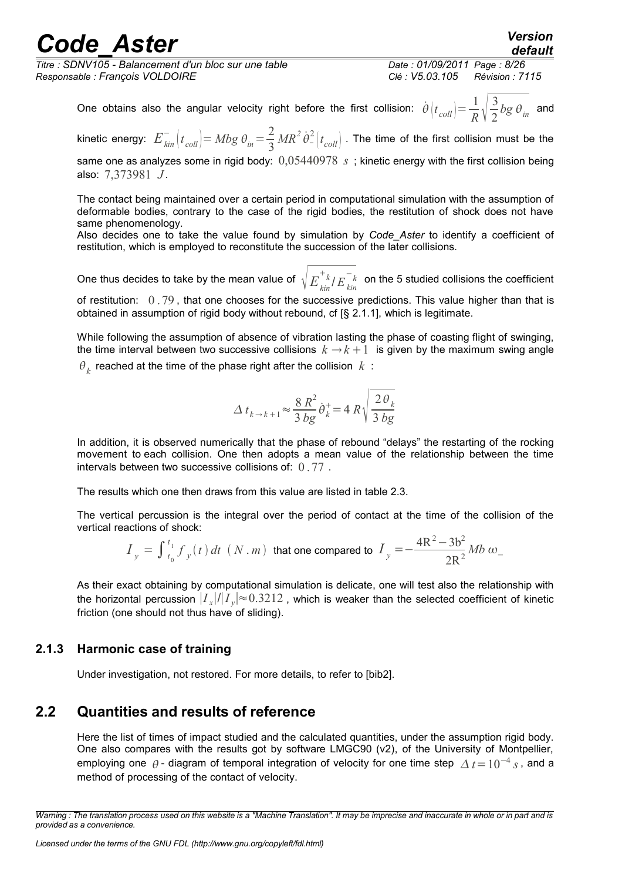*Titre : SDNV105 - Balancement d'un bloc sur une table Date : 01/09/2011 Page : 8/26 Responsable : François VOLDOIRE Clé : V5.03.105 Révision : 7115*

One obtains also the angular velocity right before the first collision:  $\dot{\theta}\left|t_{coll}\right| = \frac{1}{R}$ *R* 3  $\frac{1}{2}bg \theta_{in}$  and

 $\textsf{k}$ inetic energy:  $\left. E_{\textit{kin}}^{-} \right| t_{\textit{coll}} \bigl| = Mbg \text{ } \theta_{\textit{in}} \!=\! \frac{2}{3}$  $\frac{2}{3}MR^2\dot{\theta}_-^2\bigl(t_{coll}\bigr)$  . The time of the first collision must be the same one as analyzes some in rigid body: 0,05440978 *s* ; kinetic energy with the first collision being also: 7,373981 *J* .

The contact being maintained over a certain period in computational simulation with the assumption of deformable bodies, contrary to the case of the rigid bodies, the restitution of shock does not have same phenomenology.

Also decides one to take the value found by simulation by *Code\_Aster* to identify a coefficient of restitution, which is employed to reconstitute the succession of the later collisions.

One thus decides to take by the mean value of  $\sqrt{E_{kin}^{+}k}/E_{kin}^{-}k}$  on the 5 studied collisions the coefficient

of restitution: 0 .79 , that one chooses for the successive predictions. This value higher than that is obtained in assumption of rigid body without rebound, cf [§ 2.1.1], which is legitimate.

While following the assumption of absence of vibration lasting the phase of coasting flight of swinging, the time interval between two successive collisions  $k \rightarrow k+1$  is given by the maximum swing angle

 $\theta_{\vec{k}}$  reached at the time of the phase right after the collision  $\vert k \vert$  :

$$
\Delta t_{k \to k+1} \approx \frac{8 R^2}{3 bg} \dot{\theta}_k^+ = 4 R \sqrt{\frac{2 \theta_k}{3 bg}}
$$

In addition, it is observed numerically that the phase of rebound "delays" the restarting of the rocking movement to each collision. One then adopts a mean value of the relationship between the time intervals between two successive collisions of: 0 .77 .

The results which one then draws from this value are listed in table 2.3.

The vertical percussion is the integral over the period of contact at the time of the collision of the vertical reactions of shock:

$$
I_y = \int_{t_0}^{t_1} f_y(t) dt \, (N, m) \text{ that one compared to } I_y = -\frac{4R^2 - 3b^2}{2R^2} Mb \, \omega_-
$$

As their exact obtaining by computational simulation is delicate, one will test also the relationship with the horizontal percussion  $|I_{\,x}|/|I_{\,y}| \!\approx\! 0.3212$  , which is weaker than the selected coefficient of kinetic friction (one should not thus have of sliding).

#### **2.1.3 Harmonic case of training**

Under investigation, not restored. For more details, to refer to [bib2].

### **2.2 Quantities and results of reference**

Here the list of times of impact studied and the calculated quantities, under the assumption rigid body. One also compares with the results got by software LMGC90 (v2), of the University of Montpellier, employing one  $\theta$ -diagram of temporal integration of velocity for one time step  $\Delta$   $t=10^{-4}\,s$ , and a method of processing of the contact of velocity.

*Warning : The translation process used on this website is a "Machine Translation". It may be imprecise and inaccurate in whole or in part and is provided as a convenience.*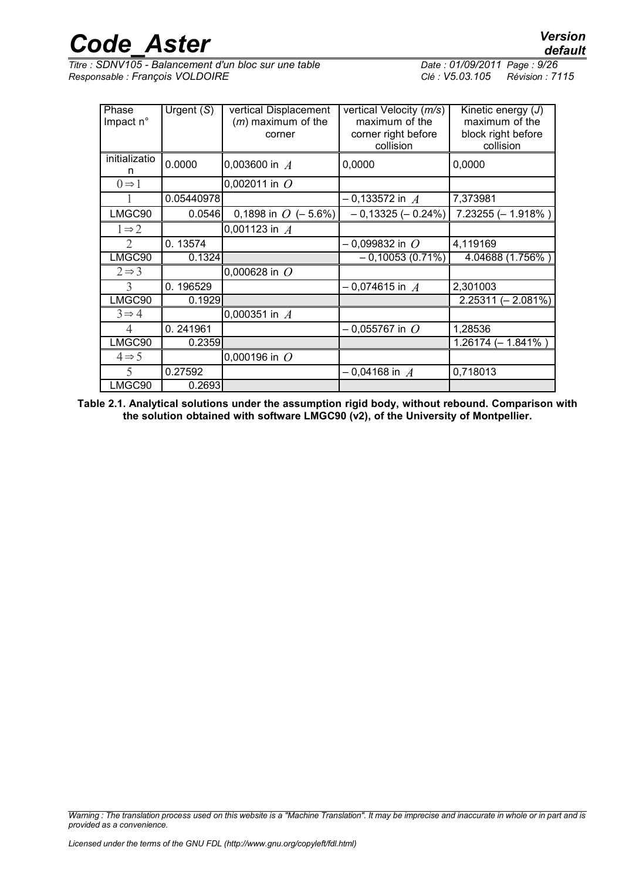*Titre : SDNV105 - Balancement d'un bloc sur une table Date : 01/09/2011 Page : 9/26 Responsable : François VOLDOIRE Clé : V5.03.105 Révision : 7115*

| Phase<br>Impact n° | Urgent (S) | vertical Displacement<br>$(m)$ maximum of the<br>corner | vertical Velocity (m/s)<br>maximum of the<br>corner right before<br>collision | Kinetic energy (J)<br>maximum of the<br>block right before<br>collision |
|--------------------|------------|---------------------------------------------------------|-------------------------------------------------------------------------------|-------------------------------------------------------------------------|
| initializatio<br>n | 0.0000     | $0,003600$ in A                                         | 0,0000                                                                        | 0,0000                                                                  |
| $0 \Rightarrow 1$  |            | $ 0,002011$ in $O$                                      |                                                                               |                                                                         |
|                    | 0.05440978 |                                                         | $-0,133572$ in $A$                                                            | 7,373981                                                                |
| LMGC90             | 0.0546     | 0,1898 in $O$ (-5.6%)                                   | $-0,13325(-0.24%)$                                                            | $7.23255 (-1.918\%)$                                                    |
| $1 \Rightarrow 2$  |            | 0,001123 in $A$                                         |                                                                               |                                                                         |
| $\overline{2}$     | 0.13574    |                                                         | $-$ 0,099832 in $\,O$                                                         | 4,119169                                                                |
| LMGC90             | 0.1324     |                                                         | $-0,10053(0.71%)$                                                             | 4.04688 (1.756%)                                                        |
| $2 \Rightarrow 3$  |            | 0,000628 in $O$                                         |                                                                               |                                                                         |
| 3                  | 0.196529   |                                                         | $-0,074615$ in $A$                                                            | 2,301003                                                                |
| LMGC90             | 0.1929     |                                                         |                                                                               | $2.25311 (-2.081%)$                                                     |
| $3 \Rightarrow 4$  |            | 0,000351 in $A$                                         |                                                                               |                                                                         |
| 4                  | 0.241961   |                                                         | $-$ 0,055767 in $\,O$                                                         | 1,28536                                                                 |
| LMGC90             | 0.2359     |                                                         |                                                                               | $1.26174 (-1.841\%)$                                                    |
| $4 \Rightarrow 5$  |            | $0,000196$ in $O$                                       |                                                                               |                                                                         |
| 5                  | 0.27592    |                                                         | $-0.04168$ in A                                                               | 0,718013                                                                |
| LMGC90             | 0.2693     |                                                         |                                                                               |                                                                         |

**Table 2.1. Analytical solutions under the assumption rigid body, without rebound. Comparison with the solution obtained with software LMGC90 (v2), of the University of Montpellier.**

*Warning : The translation process used on this website is a "Machine Translation". It may be imprecise and inaccurate in whole or in part and is provided as a convenience.*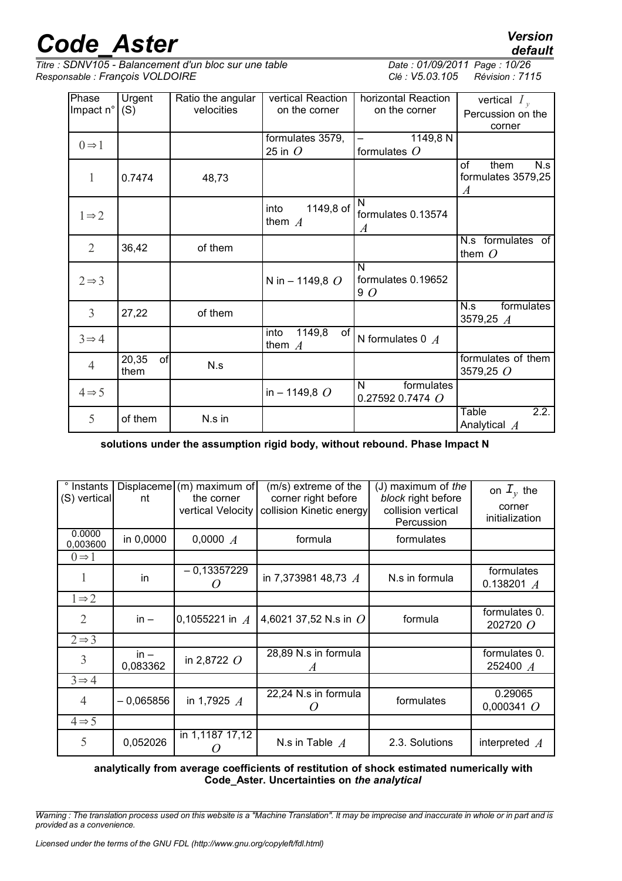*Titre : SDNV105 - Balancement d'un bloc sur une table Date : 01/09/2011 Page : 10/26 Responsable : François VOLDOIRE Clé : V5.03.105 Révision : 7115*

| Phase<br>Impact $n^{\circ}$ (S) | Urgent              | Ratio the angular<br>velocities | vertical Reaction<br>on the corner | horizontal Reaction<br>on the corner        | vertical $I_{v}$<br>Percussion on the<br>corner                       |
|---------------------------------|---------------------|---------------------------------|------------------------------------|---------------------------------------------|-----------------------------------------------------------------------|
| $0 \Rightarrow 1$               |                     |                                 | formulates 3579,<br>25 in $O$      | 1149,8 N<br>formulates $O$                  |                                                                       |
| 1                               | 0.7474              | 48,73                           |                                    |                                             | οf<br>them<br>$N_{\cdot}$ s<br>formulates 3579,25<br>$\boldsymbol{A}$ |
| $1 \Rightarrow 2$               |                     |                                 | 1149,8 of<br>into<br>them $A$      | N<br>formulates 0.13574<br>$\boldsymbol{A}$ |                                                                       |
| $\overline{2}$                  | 36,42               | of them                         |                                    |                                             | N.s formulates of<br>them $O$                                         |
| $2 \Rightarrow 3$               |                     |                                 | N in $-$ 1149,8 $O$                | N<br>formulates 0.19652<br>9Q               |                                                                       |
| $\overline{3}$                  | 27,22               | of them                         |                                    |                                             | formulates<br>N.S<br>3579,25 A                                        |
| $3 \Rightarrow 4$               |                     |                                 | into<br>1149,8<br>of<br>them $A$   | N formulates $0 \nmid A$                    |                                                                       |
| $\overline{4}$                  | 20,35<br>of<br>them | N.s                             |                                    |                                             | formulates of them<br>3579,25 $O$                                     |
| $4 \Rightarrow 5$               |                     |                                 | in $-$ 1149,8 $O$                  | formulates<br>N<br>0.27592 0.7474 $O$       |                                                                       |
| 5                               | of them             | N.s in                          |                                    |                                             | 2.2.<br>Table<br>Analytical A                                         |

**solutions under the assumption rigid body, without rebound. Phase Impact N**

| Instants<br>(S) vertical | nt                 | Displaceme (m) maximum of<br>the corner<br>vertical Velocity | (m/s) extreme of the<br>corner right before<br>collision Kinetic energy | (J) maximum of the<br>block right before<br>collision vertical | on $\mathcal{I}_{v}$ the<br>corner<br>initialization |
|--------------------------|--------------------|--------------------------------------------------------------|-------------------------------------------------------------------------|----------------------------------------------------------------|------------------------------------------------------|
|                          |                    |                                                              |                                                                         | Percussion                                                     |                                                      |
| 0.0000<br>0,003600       | in 0,0000          | 0,0000 $\overline{A}$                                        | formula                                                                 | formulates                                                     |                                                      |
| $0 \Rightarrow 1$        |                    |                                                              |                                                                         |                                                                |                                                      |
|                          | in                 | $-0,13357229$<br>( )                                         | in 7,373981 48,73 $A$                                                   | N.s in formula                                                 | formulates<br>0.138201 $A$                           |
| $1 \Rightarrow 2$        |                    |                                                              |                                                                         |                                                                |                                                      |
| 2                        | $in -$             | 0,1055221 in $A$                                             | 4,6021 37,52 N.s in $O$                                                 | formula                                                        | formulates 0.<br>202720 $O$                          |
| $2 \Rightarrow 3$        |                    |                                                              |                                                                         |                                                                |                                                      |
| 3                        | $in -$<br>0,083362 | in 2,8722 $O$                                                | 28,89 N.s in formula<br>A                                               |                                                                | formulates 0.<br>252400 A                            |
| $3 \Rightarrow 4$        |                    |                                                              |                                                                         |                                                                |                                                      |
| 4                        | $-0,065856$        | in 1,7925 $A$                                                | 22,24 N.s in formula<br>( )                                             | formulates                                                     | 0.29065<br>0,000341 $O$                              |
| $4 \Rightarrow 5$        |                    |                                                              |                                                                         |                                                                |                                                      |
| 5                        | 0,052026           | in 1,1187 17,12                                              | N.s in Table $\Lambda$                                                  | 2.3. Solutions                                                 | interpreted $A$                                      |

**analytically from average coefficients of restitution of shock estimated numerically with Code\_Aster. Uncertainties on** *the analytical*

*Warning : The translation process used on this website is a "Machine Translation". It may be imprecise and inaccurate in whole or in part and is provided as a convenience.*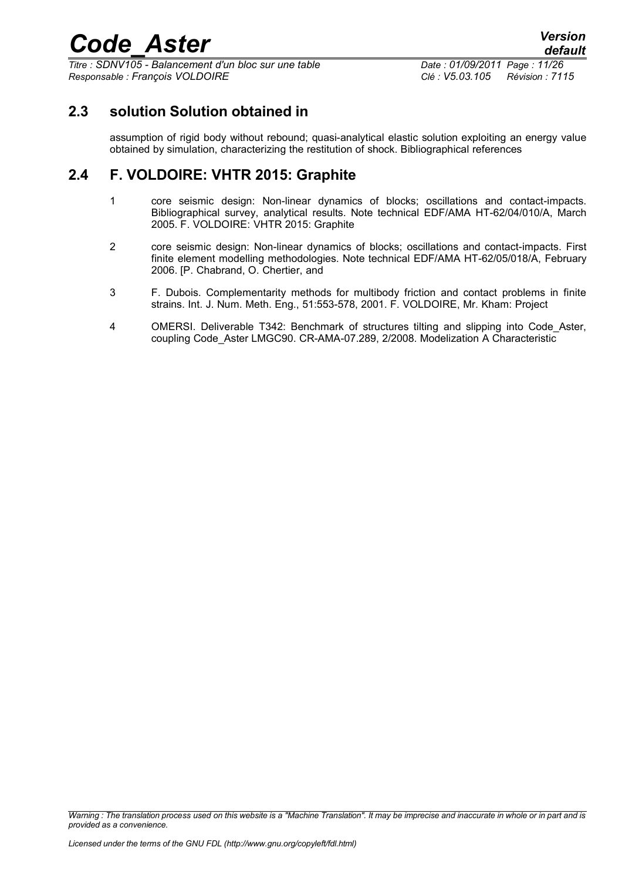*Titre : SDNV105 - Balancement d'un bloc sur une table Date : 01/09/2011 Page : 11/26 Responsable : François VOLDOIRE Clé : V5.03.105 Révision : 7115*

### **2.3 solution Solution obtained in**

assumption of rigid body without rebound; quasi-analytical elastic solution exploiting an energy value obtained by simulation, characterizing the restitution of shock. Bibliographical references

### **2.4 F. VOLDOIRE: VHTR 2015: Graphite**

- 1 core seismic design: Non-linear dynamics of blocks; oscillations and contact-impacts. Bibliographical survey, analytical results. Note technical EDF/AMA HT-62/04/010/A, March 2005. F. VOLDOIRE: VHTR 2015: Graphite
- 2 core seismic design: Non-linear dynamics of blocks; oscillations and contact-impacts. First finite element modelling methodologies. Note technical EDF/AMA HT-62/05/018/A, February 2006. [P. Chabrand, O. Chertier, and
- 3 F. Dubois. Complementarity methods for multibody friction and contact problems in finite strains. Int. J. Num. Meth. Eng., 51:553-578, 2001. F. VOLDOIRE, Mr. Kham: Project
- 4 OMERSI. Deliverable T342: Benchmark of structures tilting and slipping into Code\_Aster, coupling Code\_Aster LMGC90. CR-AMA-07.289, 2/2008. Modelization A Characteristic

*Warning : The translation process used on this website is a "Machine Translation". It may be imprecise and inaccurate in whole or in part and is provided as a convenience.*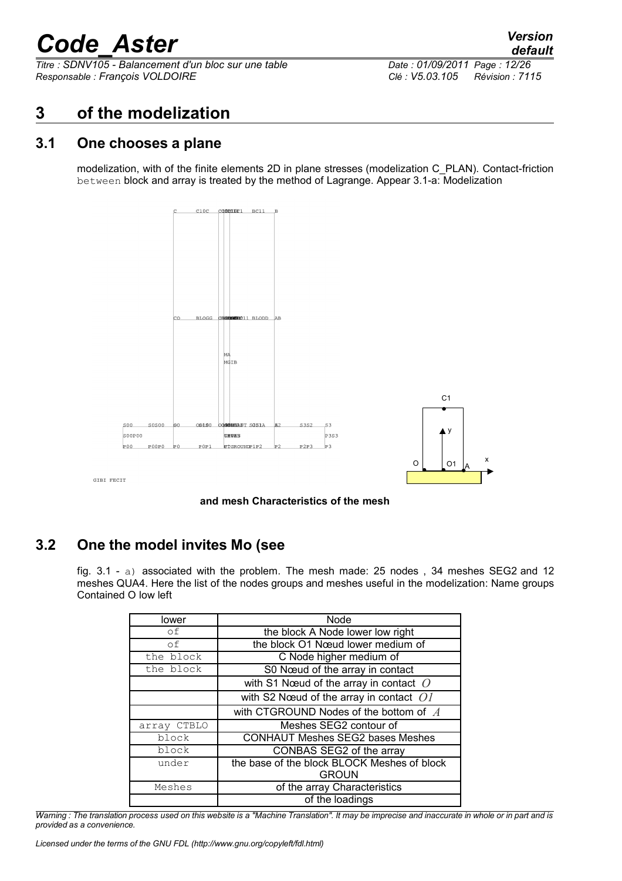*Titre : SDNV105 - Balancement d'un bloc sur une table Date : 01/09/2011 Page : 12/26 Responsable : François VOLDOIRE Clé : V5.03.105 Révision : 7115*

x

### **3 of the modelization**

### **3.1 One chooses a plane**

modelization, with of the finite elements 2D in plane stresses (modelization C\_PLAN). Contact-friction between block and array is treated by the method of Lagrange. Appear 3.1-a: Modelization



GIBI FECIT

**and mesh Characteristics of the mesh**

### **3.2 One the model invites Mo (see**

fig. 3.1 - a) associated with the problem. The mesh made: 25 nodes , 34 meshes SEG2 and 12 meshes QUA4. Here the list of the nodes groups and meshes useful in the modelization: Name groups Contained O low left

| lower       | Node                                           |
|-------------|------------------------------------------------|
| οf          | the block A Node lower low right               |
| оf          | the block O1 Nœud lower medium of              |
| the block   | C Node higher medium of                        |
| the block   | S0 Nœud of the array in contact                |
|             | with S1 No aud of the array in contact $O$     |
|             | with S2 No eud of the array in contact $OI$    |
|             | with CTGROUND Nodes of the bottom of $\Lambda$ |
| array CTBLO | Meshes SEG2 contour of                         |
| block       | <b>CONHAUT Meshes SEG2 bases Meshes</b>        |
| block       | CONBAS SEG2 of the array                       |
| under       | the base of the block BLOCK Meshes of block    |
|             | <b>GROUN</b>                                   |
| Meshes      | of the array Characteristics                   |
|             | of the loadings                                |

*Warning : The translation process used on this website is a "Machine Translation". It may be imprecise and inaccurate in whole or in part and is provided as a convenience.*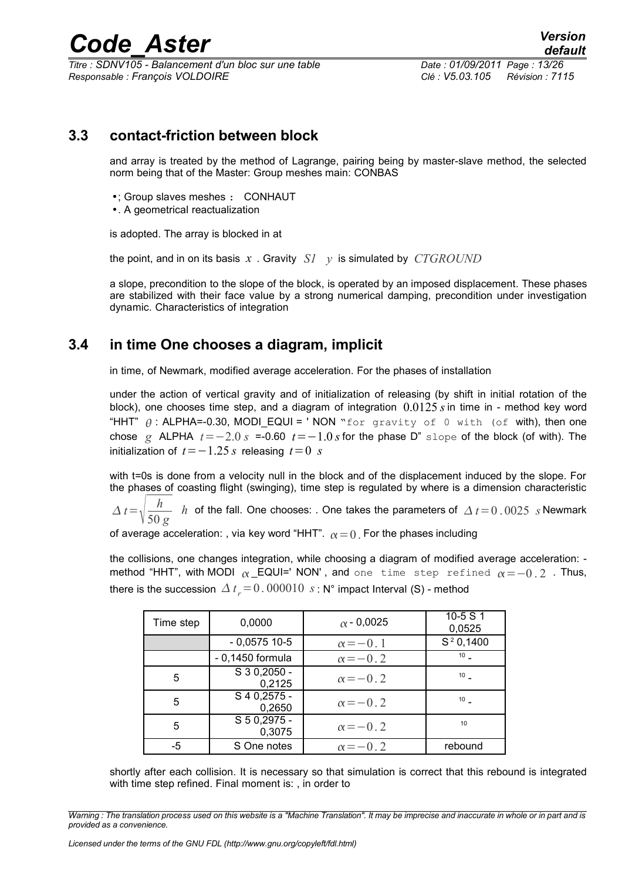*Titre : SDNV105 - Balancement d'un bloc sur une table Date : 01/09/2011 Page : 13/26 Responsable : François VOLDOIRE Clé : V5.03.105 Révision : 7115*

### **3.3 contact-friction between block**

and array is treated by the method of Lagrange, pairing being by master-slave method, the selected norm being that of the Master: Group meshes main: CONBAS

- •; Group slaves meshes : CONHAUT
- •. A geometrical reactualization

is adopted. The array is blocked in at

the point, and in on its basis *x* . Gravity *S1 y* is simulated by *CTGROUND*

a slope, precondition to the slope of the block, is operated by an imposed displacement. These phases are stabilized with their face value by a strong numerical damping, precondition under investigation dynamic. Characteristics of integration

#### **3.4 in time One chooses a diagram, implicit**

in time, of Newmark, modified average acceleration. For the phases of installation

under the action of vertical gravity and of initialization of releasing (by shift in initial rotation of the block), one chooses time step, and a diagram of integration 0.0125 *s* in time in - method key word "HHT"  $\theta$ : ALPHA=-0.30, MODI\_EQUI = 'NON "for gravity of 0 with (of with), then one chose *g* ALPHA  $t=-2.0 s = -0.60 t = -1.0 s$  for the phase D" slope of the block (of with). The initialization of  $t=-1.25$  *s* releasing  $t=0$  *s* 

with t=0s is done from a velocity null in the block and of the displacement induced by the slope. For the phases of coasting flight (swinging), time step is regulated by where is a dimension characteristic

 $\Delta t = \sqrt{\frac{h}{50}}$ 50 *g*  $h$  of the fall. One chooses: . One takes the parameters of  $\Delta t = 0$  ,  $0025$  *s* Newmark

of average acceleration: , via key word "HHT".  $\alpha = 0$  For the phases including

the collisions, one changes integration, while choosing a diagram of modified average acceleration: method "HHT", with MODI  $\alpha$  EQUI=' NON', and one time step refined  $\alpha = -0$  . 2. Thus, there is the succession  $\varDelta$   $t_r^{}\!=\!0$  .  $000010\,\,s$  : N° impact Interval (S) - method

| Time step | 0,0000                   | $\alpha$ - 0,0025 | $10-5 S1$<br>0,0525 |
|-----------|--------------------------|-------------------|---------------------|
|           | $-0,0575$ 10-5           | $\alpha = -0.1$   | $S^2$ 0,1400        |
|           | $-0,1450$ formula        | $\alpha = -0.2$   | 10                  |
| 5         | $S$ 3 0,2050 -<br>0,2125 | $\alpha = -0.2$   | 10                  |
| 5         | S 4 0,2575 -<br>0,2650   | $\alpha = -0.2$   | 10                  |
| 5         | S 5 0, 2975 -<br>0,3075  | $\alpha = -0.2$   | 10                  |
| -5        | S One notes              | $\alpha = -0.2$   | rebound             |

shortly after each collision. It is necessary so that simulation is correct that this rebound is integrated with time step refined. Final moment is: , in order to

*Warning : The translation process used on this website is a "Machine Translation". It may be imprecise and inaccurate in whole or in part and is provided as a convenience.*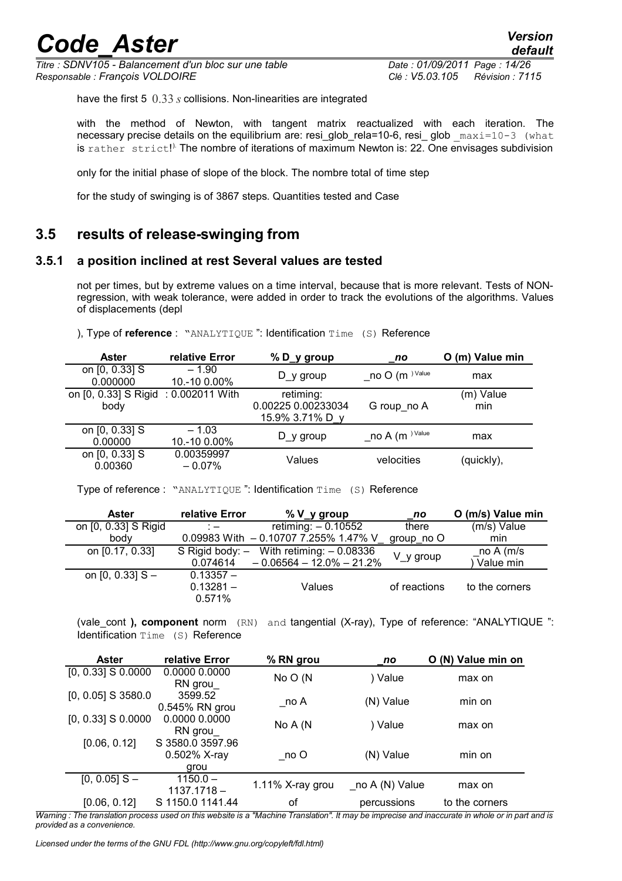*Titre : SDNV105 - Balancement d'un bloc sur une table Date : 01/09/2011 Page : 14/26 Responsable : François VOLDOIRE Clé : V5.03.105 Révision : 7115*

have the first 5 0.33 *s* collisions. Non-linearities are integrated

with the method of Newton, with tangent matrix reactualized with each iteration. The necessary precise details on the equilibrium are: resi\_glob\_rela=10-6, resi\_ glob  $_{\text{maxi}=10-3}$  (what is rather strict!<sup>)</sup> The nombre of iterations of maximum Newton is: 22. One envisages subdivision

only for the initial phase of slope of the block. The nombre total of time step

for the study of swinging is of 3867 steps. Quantities tested and Case

#### **3.5 results of release-swinging from**

#### **3.5.1 a position inclined at rest Several values are tested**

not per times, but by extreme values on a time interval, because that is more relevant. Tests of NONregression, with weak tolerance, were added in order to track the evolutions of the algorithms. Values of displacements (depl

|  | ), Type of reference: "ANALYTIQUE": Identification Time (S) Reference |  |
|--|-----------------------------------------------------------------------|--|
|--|-----------------------------------------------------------------------|--|

| Aster                        | relative Error          | % D_y group                                        | no                                      | O (m) Value min  |
|------------------------------|-------------------------|----------------------------------------------------|-----------------------------------------|------------------|
| on [0, 0.33] S<br>0.000000   | $-1.90$<br>10.-10 0.00% | $D_y$ group                                        | _no O (m <sup><math>)</math>Value</sup> | max              |
| on [0, 0.33] S Rigid<br>body | : 0.002011 With         | retiming:<br>0.00225 0.00233034<br>15.9% 3.71% D y | G roup no A                             | (m) Value<br>min |
| on [0, 0.33] S<br>0.00000    | $-1.03$<br>10.-10 0.00% | $D \vee q$ roup                                    | _no A (m <sup><math>)</math>Value</sup> | max              |
| on [0, 0.33] S<br>0.00360    | 0.00359997<br>$-0.07%$  | Values                                             | velocities                              | (quickly),       |

Type of reference : "ANALYTIQUE ": Identification Time (S) Reference

| <b>Aster</b>         | relative Error | $\%$ V_y group                              | no           | O (m/s) Value min |
|----------------------|----------------|---------------------------------------------|--------------|-------------------|
| on [0, 0.33] S Rigid |                | retiming: $-0.10552$                        | there        | (m/s) Value       |
| body                 |                | 0.09983 With - 0.10707 7.255% 1.47% V       | group_no O   | min               |
| on [0.17, 0.33]      |                | S Rigid body: $-$ With retiming: $-0.08336$ | $V_y$ group  | no A (m/s         |
|                      | 0.074614       | $-0.06564 - 12.0\% - 21.2\%$                |              | Value min         |
| on $[0, 0.33]$ S $-$ | $0.13357 -$    |                                             |              |                   |
|                      | $0.13281 -$    | Values                                      | of reactions | to the corners    |
|                      | 0.571%         |                                             |              |                   |

(vale cont ), component norm (RN) and tangential (X-ray), Type of reference: "ANALYTIQUE ": Identification Time (S) Reference

| <b>Aster</b>         | relative Error   | % RN grou        | no             | O (N) Value min on |
|----------------------|------------------|------------------|----------------|--------------------|
| $[0, 0.33]$ S 0.0000 | 0.0000 0.0000    | No O (N          | Value          | max on             |
|                      | RN grou          |                  |                |                    |
| $[0, 0.05]$ S 3580.0 | 3599.52          | $\_noA$          | (N) Value      | min on             |
|                      | 0.545% RN grou   |                  |                |                    |
| $[0, 0.33]$ S 0.0000 | 0.0000 0.0000    | No A (N)         | ) Value        | max on             |
|                      | RN grou          |                  |                |                    |
| [0.06, 0.12]         | S 3580.0 3597.96 |                  |                |                    |
|                      | $0.502\%$ X-ray  | no O             | (N) Value      | min on             |
|                      | grou             |                  |                |                    |
| $[0, 0.05]$ S –      | $1150.0 -$       | 1.11% X-ray grou | no A (N) Value | max on             |
|                      | $1137.1718 -$    |                  |                |                    |
| [0.06, 0.12]         | S 1150.0 1141.44 | οf               | percussions    | to the corners     |

*Warning : The translation process used on this website is a "Machine Translation". It may be imprecise and inaccurate in whole or in part and is provided as a convenience.*

*Licensed under the terms of the GNU FDL (http://www.gnu.org/copyleft/fdl.html)*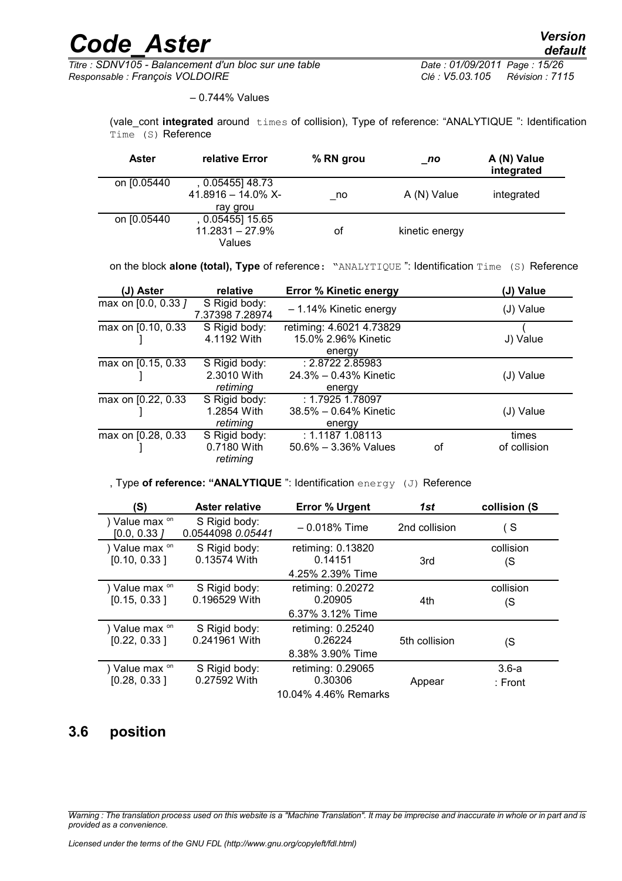*Titre : SDNV105 - Balancement d'un bloc sur une table Date : 01/09/2011 Page : 15/26 Responsable : François VOLDOIRE Clé : V5.03.105 Révision : 7115*

– 0.744% Values

(vale\_cont **integrated** around times of collision), Type of reference: "ANALYTIQUE ": Identification Time (S) Reference

| Aster        | relative Error                                         | % RN grou | no             | A (N) Value<br>integrated |
|--------------|--------------------------------------------------------|-----------|----------------|---------------------------|
| on [0.05440] | $0.05455$ ] 48.73<br>$41.8916 - 14.0\%$ X-<br>ray grou | $\_$ no   | A (N) Value    | integrated                |
| on [0.05440] | , 0.05455] 15.65<br>$11.2831 - 27.9%$<br>Values        | οf        | kinetic energy |                           |

on the block **alone (total), Type** of reference: "ANALYTIQUE ": Identification Time (S) Reference

| (J) Aster           | relative                                 | <b>Error % Kinetic energy</b>                         |    | (J) Value             |
|---------------------|------------------------------------------|-------------------------------------------------------|----|-----------------------|
| max on [0.0, 0.33 ] | S Rigid body:<br>7.37398 7.28974         | $-1.14\%$ Kinetic energy                              |    | (J) Value             |
| max on [0.10, 0.33  | S Rigid body:<br>4.1192 With             | retiming: 4.6021 4.73829<br>15.0% 2.96% Kinetic       |    | J) Value              |
|                     |                                          | energy                                                |    |                       |
| max on [0.15, 0.33  | S Rigid body:<br>2.3010 With<br>retiming | $: 2.8722$ 2.85983<br>24.3% - 0.43% Kinetic<br>energy |    | (J) Value             |
| max on [0.22, 0.33  | S Rigid body:<br>1.2854 With<br>retiming | : 1.7925 1.78097<br>38.5% - 0.64% Kinetic<br>energy   |    | (J) Value             |
| max on [0.28, 0.33  | S Rigid body:<br>0.7180 With<br>retiming | : 1.1187108113<br>50.6% - 3.36% Values                | οf | times<br>of collision |

, Type **of reference: "ANALYTIQUE** ": Identification energy (J) Reference

| (S)                                       | <b>Aster relative</b>              | Error % Urgent                                       | 1st           | collision (S         |
|-------------------------------------------|------------------------------------|------------------------------------------------------|---------------|----------------------|
| ) Value max <sup>on</sup><br>[0.0, 0.33]  | S Rigid body:<br>0.0544098 0.05441 | $-0.018\%$ Time                                      | 2nd collision | ( S                  |
| ) Value max on<br>[0.10, 0.33]            | S Rigid body:<br>0.13574 With      | retiming: 0.13820<br>0.14151<br>4.25% 2.39% Time     | 3rd           | collision<br>(S      |
| ) Value max <sup>on</sup><br>[0.15, 0.33] | S Rigid body:<br>0.196529 With     | retiming: 0.20272<br>0.20905<br>6.37% 3.12% Time     | 4th           | collision<br>(S)     |
| ) Value max on<br>[0.22, 0.33]            | S Rigid body:<br>0.241961 With     | retiming: 0.25240<br>0.26224<br>8.38% 3.90% Time     | 5th collision | (S                   |
| ) Value max <sup>on</sup><br>[0.28, 0.33] | S Rigid body:<br>0.27592 With      | retiming: 0.29065<br>0.30306<br>10.04% 4.46% Remarks | Appear        | $3.6 - a$<br>: Front |

### **3.6 position**

*Warning : The translation process used on this website is a "Machine Translation". It may be imprecise and inaccurate in whole or in part and is provided as a convenience.*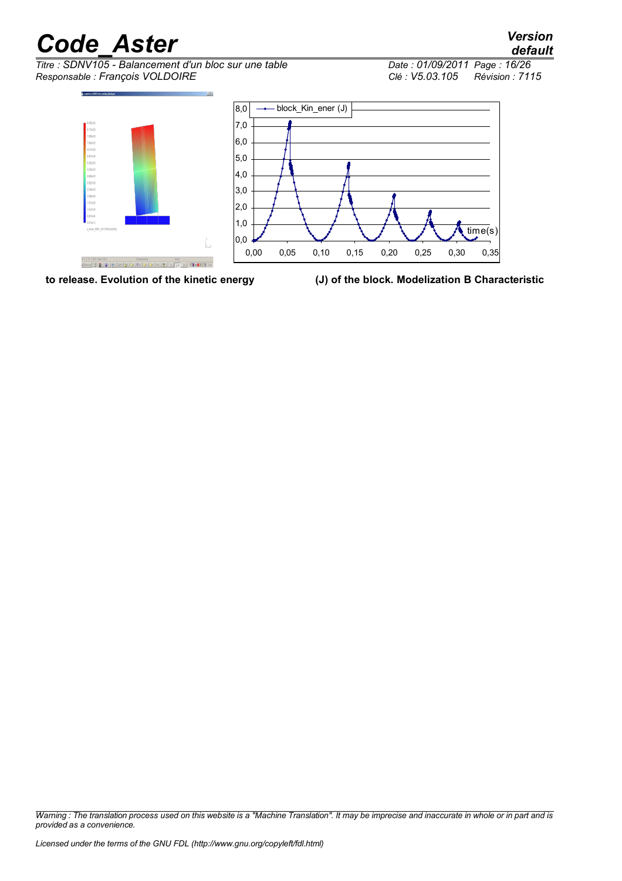# *Code\_Aster Version*<br>Titre : SDNV105 - Balancement d'un bloc sur une table *Date : 01/09/2011* Page : 16/26

*Titre : SDNV105 - Balancement d'un bloc sur une table Date : 01/09/2011 Page : 16/26 Responsable : François VOLDOIRE Clé : V5.03.105 Révision : 7115*

*default*





**to release. Evolution of the kinetic energy (J) of the block. Modelization B Characteristic**

*Warning : The translation process used on this website is a "Machine Translation". It may be imprecise and inaccurate in whole or in part and is provided as a convenience.*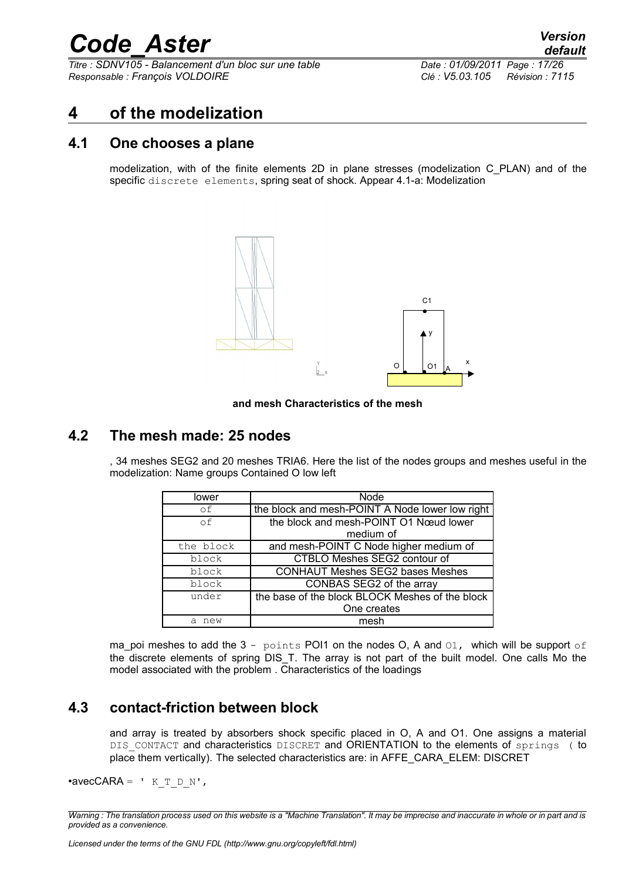*Titre : SDNV105 - Balancement d'un bloc sur une table Date : 01/09/2011 Page : 17/26 Responsable : François VOLDOIRE Clé : V5.03.105 Révision : 7115*

### **4 of the modelization**

### **4.1 One chooses a plane**

modelization, with of the finite elements 2D in plane stresses (modelization C\_PLAN) and of the specific discrete elements, spring seat of shock. Appear 4.1-a: Modelization



#### **and mesh Characteristics of the mesh**

#### **4.2 The mesh made: 25 nodes**

, 34 meshes SEG2 and 20 meshes TRIA6. Here the list of the nodes groups and meshes useful in the modelization: Name groups Contained O low left

| lower                 | Node                                            |
|-----------------------|-------------------------------------------------|
| оf                    | the block and mesh-POINT A Node lower low right |
| of                    | the block and mesh-POINT O1 Nœud lower          |
|                       | medium of                                       |
| the block             | and mesh-POINT C Node higher medium of          |
| block                 | CTBLO Meshes SEG2 contour of                    |
| block                 | <b>CONHAUT Meshes SEG2 bases Meshes</b>         |
| block                 | CONBAS SEG2 of the array                        |
| under                 | the base of the block BLOCK Meshes of the block |
|                       | One creates                                     |
| new<br>$\overline{a}$ | mesh                                            |

ma poi meshes to add the  $3$  - points POI1 on the nodes O, A and  $01$ , which will be support of the discrete elements of spring DIS\_T. The array is not part of the built model. One calls Mo the model associated with the problem . Characteristics of the loadings

### **4.3 contact-friction between block**

and array is treated by absorbers shock specific placed in O, A and O1. One assigns a material DIS CONTACT and characteristics DISCRET and ORIENTATION to the elements of springs ( to place them vertically). The selected characteristics are: in AFFE\_CARA\_ELEM: DISCRET

•avecCARA =  $'$  K T D N',

*Warning : The translation process used on this website is a "Machine Translation". It may be imprecise and inaccurate in whole or in part and is provided as a convenience.*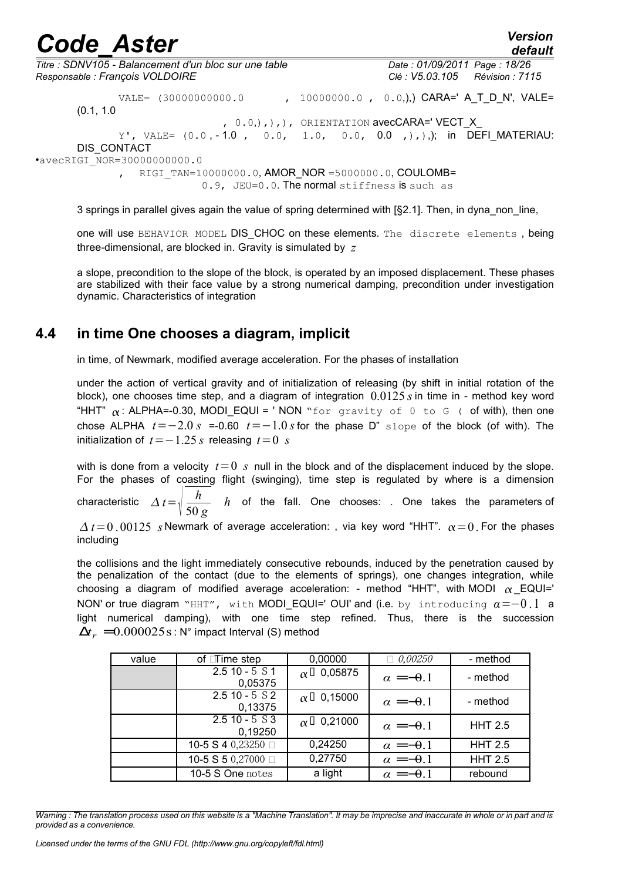*default*

*Titre : SDNV105 - Balancement d'un bloc sur une table Date : 01/09/2011 Page : 18/26 Responsable : François VOLDOIRE Clé : V5.03.105 Révision : 7115*

VALE= (30000000000.0 , 10000000.0, 0.0,), CARA=' A T D N', VALE=

(0.1, 1.0

 $(0.0,0,0)$ ,  $(0.0,0)$ , ORIENTATION avecCARA='VECT X  $Y'$ , VALE=  $(0.0, -1.0, 0.0, 1.0, 0.0, 0.0, 0.0)$ ; (in DEFI MATERIAU: DIS\_CONTACT

•avecRIGI\_NOR=30000000000.0

, RIGI\_TAN=10000000.0, AMOR\_NOR =5000000.0, COULOMB= 0.9, JEU=0.0. The normal stiffness is such as

3 springs in parallel gives again the value of spring determined with [§2.1]. Then, in dyna\_non\_line,

one will use BEHAVIOR MODEL DIS CHOC on these elements. The discrete elements, being three-dimensional, are blocked in. Gravity is simulated by *z*

a slope, precondition to the slope of the block, is operated by an imposed displacement. These phases are stabilized with their face value by a strong numerical damping, precondition under investigation dynamic. Characteristics of integration

### **4.4 in time One chooses a diagram, implicit**

in time, of Newmark, modified average acceleration. For the phases of installation

under the action of vertical gravity and of initialization of releasing (by shift in initial rotation of the block), one chooses time step, and a diagram of integration 0.0125 *s*in time in - method key word "HHT"  $\alpha$ : ALPHA=-0.30, MODI\_EQUI = 'NON "for gravity of 0 to G ( of with), then one chose ALPHA  $t=-2.0 s =0.60 t=-1.0 s$  for the phase D" slope of the block (of with). The initialization of  $t=-1.25 s$  releasing  $t=0$  *s* 

with is done from a velocity  $t=0$  *s* null in the block and of the displacement induced by the slope. For the phases of coasting flight (swinging), time step is regulated by where is a dimension characteristic *t*= $\sqrt{20}$ *h* 50 *g h* of the fall. One chooses: . One takes the parameters of  $\Delta t$  = 0.00125 *s* Newmark of average acceleration:, via key word "HHT".  $\alpha$  = 0. For the phases including

the collisions and the light immediately consecutive rebounds, induced by the penetration caused by the penalization of the contact (due to the elements of springs), one changes integration, while choosing a diagram of modified average acceleration: - method "HHT", with MODI  $\alpha$  EQUI=' NON' or true diagram "HHT", with MODI EQUI=' OUI' and (i.e. by introducing  $\alpha=-0$  . 1 a light numerical damping), with one time step refined. Thus, there is the succession  $\Delta t_{_{P}}=$   $0.000025\,\mathrm{s}$  : N° impact Interval (S) method

| value | of Time step             | 0,00000                        | $\Box$ 0,00250  | - method       |
|-------|--------------------------|--------------------------------|-----------------|----------------|
|       | $2.510 - 5S1$<br>0,05375 | $\alpha$ <sup>[]</sup> 0,05875 | $\alpha = -0.1$ | - method       |
|       | $2.510 - 5S2$<br>0,13375 | $\alpha$ <sup>[]</sup> 0,15000 | $\alpha = -0.1$ | - method       |
|       | $2.510 - 5S3$<br>0,19250 | $\alpha$ <sup>[]</sup> 0,21000 | $\alpha = -0.1$ | <b>HHT 2.5</b> |
|       | 10-5 S 4 0,23250 □       | 0,24250                        | $\alpha = -0.1$ | <b>HHT 2.5</b> |
|       | 10-5 S 5 0,27000 □       | 0,27750                        | $\alpha = -0.1$ | <b>HHT 2.5</b> |
|       | 10-5 S One notes         | a light                        | $\alpha = -0.1$ | rebound        |

*Warning : The translation process used on this website is a "Machine Translation". It may be imprecise and inaccurate in whole or in part and is provided as a convenience.*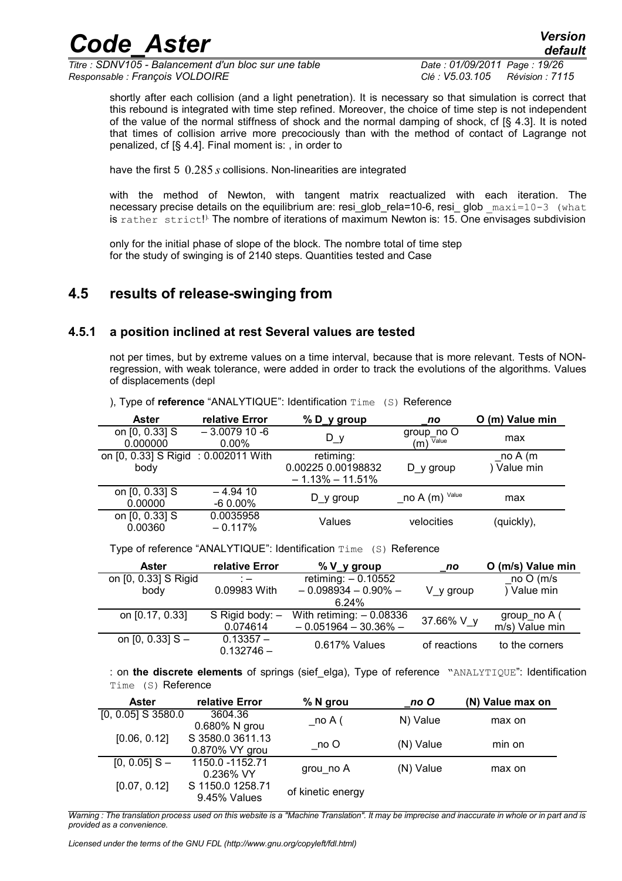*Titre : SDNV105 - Balancement d'un bloc sur une table Date : 01/09/2011 Page : 19/26 Responsable : François VOLDOIRE Clé : V5.03.105 Révision : 7115*

shortly after each collision (and a light penetration). It is necessary so that simulation is correct that this rebound is integrated with time step refined. Moreover, the choice of time step is not independent of the value of the normal stiffness of shock and the normal damping of shock, cf [§ 4.3]. It is noted that times of collision arrive more precociously than with the method of contact of Lagrange not penalized, cf [§ 4.4]. Final moment is: , in order to

have the first 5 0.285 *s* collisions. Non-linearities are integrated

with the method of Newton, with tangent matrix reactualized with each iteration. The necessary precise details on the equilibrium are: resi\_glob\_rela=10-6, resi\_ glob maxi=10-3 (what is rather strict!<sup>).</sup> The nombre of iterations of maximum Newton is: 15. One envisages subdivision

only for the initial phase of slope of the block. The nombre total of time step for the study of swinging is of 2140 steps. Quantities tested and Case

#### **4.5 results of release-swinging from**

#### **4.5.1 a position inclined at rest Several values are tested**

not per times, but by extreme values on a time interval, because that is more relevant. Tests of NONregression, with weak tolerance, were added in order to track the evolutions of the algorithms. Values of displacements (depl

| <b>Aster</b>                         | relative Error              | % D_y group         | no                                      | O (m) Value min |
|--------------------------------------|-----------------------------|---------------------|-----------------------------------------|-----------------|
| on [0, 0.33] S<br>0.000000           | $-3.0079$ 10 -6<br>$0.00\%$ | D y                 | group_no O<br>$(m)$ $\overline{V}$ alue | max             |
| on [0, 0.33] S Rigid : 0.002011 With |                             | retiming:           |                                         | _no A (m        |
| body                                 |                             | 0.00225 0.00198832  | $D \,$ y group                          | Value min       |
|                                      |                             | $-1.13\% - 11.51\%$ |                                         |                 |
| on [0, 0.33] S                       | $-4.9410$                   | $D_y$ group         | _no A $(m)$ Value                       | max             |
| 0.00000                              | $-60.00\%$                  |                     |                                         |                 |
| on [0, 0.33] S                       | 0.0035958                   | Values              | velocities                              | (quickly),      |
| 0.00360                              | $-0.117%$                   |                     |                                         |                 |

), Type of **reference** "ANALYTIQUE": Identification  $Time (S)$  Reference

Type of reference "ANALYTIQUE": Identification Time (S) Reference

| <b>Aster</b>         | relative Error      | $\%$ V_y group            | no           | O (m/s) Value min |
|----------------------|---------------------|---------------------------|--------------|-------------------|
| on [0, 0.33] S Rigid |                     | retiming: $-0.10552$      |              | no O (m/s)        |
| body                 | 0.09983 With        | $-0.098934 - 0.90\% -$    | V y group    | ) Value min       |
|                      |                     | $6.24\%$                  |              |                   |
| on [0.17, 0.33]      | $S$ Rigid body: $-$ | With retiming: $-0.08336$ | 37.66% V y   | group_no A (      |
|                      | 0.074614            | $-0.051964 - 30.36% -$    |              | m/s) Value min    |
| on $[0, 0.33]$ S $-$ | $0.13357 -$         | 0.617% Values             | of reactions | to the corners    |
|                      | $0.132746 -$        |                           |              |                   |

: on **the discrete elements** of springs (sief\_elga), Type of reference "ANALYTIQUE": Identification Time (S) Reference

| <b>Aster</b>         | relative Error   | % N grou          | no O      | (N) Value max on |
|----------------------|------------------|-------------------|-----------|------------------|
| $[0, 0.05]$ S 3580.0 | 3604.36          | _no A $($         | N) Value  | max on           |
|                      | 0.680% N grou    |                   |           |                  |
| [0.06, 0.12]         | S 3580.0 3611.13 | _no $O$           | (N) Value | min on           |
|                      | 0.870% VY grou   |                   |           |                  |
| $[0, 0.05]$ S –      | 1150.0 -1152.71  | grou no A         | (N) Value | max on           |
|                      | 0.236% VY        |                   |           |                  |
| [0.07, 0.12]         | S 1150.0 1258.71 | of kinetic energy |           |                  |
|                      | 9.45% Values     |                   |           |                  |

*Warning : The translation process used on this website is a "Machine Translation". It may be imprecise and inaccurate in whole or in part and is provided as a convenience.*

*Licensed under the terms of the GNU FDL (http://www.gnu.org/copyleft/fdl.html)*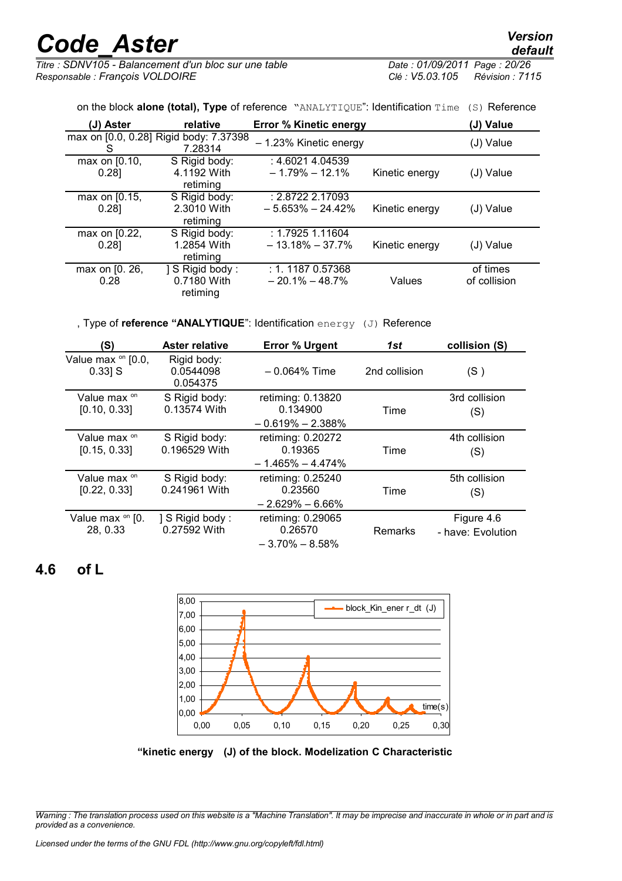*Titre : SDNV105 - Balancement d'un bloc sur une table Date : 01/09/2011 Page : 20/26 Responsable : François VOLDOIRE Clé : V5.03.105 Révision : 7115*

on the block **alone (total), Type** of reference "ANALYTIQUE": Identification Time (S) Reference

| (J) Aster                 | relative                                          | <b>Error % Kinetic energy</b>            |                | (J) Value                |
|---------------------------|---------------------------------------------------|------------------------------------------|----------------|--------------------------|
| S                         | max on [0.0, 0.28] Rigid body: 7.37398<br>7.28314 | - 1.23% Kinetic energy                   |                | (J) Value                |
| max on [0.10,<br>$0.28$ ] | S Rigid body:<br>4.1192 With<br>retiming          | : 4.6021 4.04539<br>$-1.79\% - 12.1\%$   | Kinetic energy | (J) Value                |
| max on [0.15,<br>$0.28$ ] | S Rigid body:<br>2.3010 With<br>retiming          | : 2.8722 2.17093<br>$-5.653\% - 24.42\%$ | Kinetic energy | (J) Value                |
| max on [0.22,<br>$0.28$ ] | S Rigid body:<br>1.2854 With<br>retiming          | : 1.7925111604<br>$-13.18\% - 37.7\%$    | Kinetic energy | (J) Value                |
| max on [0. 26,<br>0.28    | S Rigid body:<br>0.7180 With<br>retimina          | : 1.1187 0.57368<br>$-20.1\% - 48.7\%$   | Values         | of times<br>of collision |

, Type of **reference "ANALYTIQUE**": Identification energy (J) Reference

| 'S)                                     | Aster relative                       | <b>Error % Urgent</b>                                 | 1st            | collision (S)                   |
|-----------------------------------------|--------------------------------------|-------------------------------------------------------|----------------|---------------------------------|
| Value max $\circ$ [0.0,<br>$0.33$ ] S   | Rigid body:<br>0.0544098<br>0.054375 | $-0.064\%$ Time                                       | 2nd collision  | (S)                             |
| Value max on<br>[0.10, 0.33]            | S Rigid body:<br>0.13574 With        | retiming: 0.13820<br>0.134900<br>$-0.619\% - 2.388\%$ | Time           | 3rd collision<br>(S)            |
| Value max <sup>on</sup><br>[0.15, 0.33] | S Rigid body:<br>0.196529 With       | retiming: 0.20272<br>0.19365<br>$-1.465\% - 4.474\%$  | Time           | 4th collision<br>(S)            |
| Value max <sup>on</sup><br>[0.22, 0.33] | S Rigid body:<br>0.241961 With       | retiming: 0.25240<br>0.23560<br>$-2.629\% - 6.66\%$   | Time           | 5th collision<br>(S)            |
| Value max $\circ$ [0.<br>28, 0.33       | S Rigid body:<br>0.27592 With        | retiming: 0.29065<br>0.26570<br>$-3.70\% - 8.58\%$    | <b>Remarks</b> | Figure 4.6<br>- have: Evolution |

### **4.6 of L**



**"kinetic energy (J) of the block. Modelization C Characteristic**

*default*

*Warning : The translation process used on this website is a "Machine Translation". It may be imprecise and inaccurate in whole or in part and is provided as a convenience.*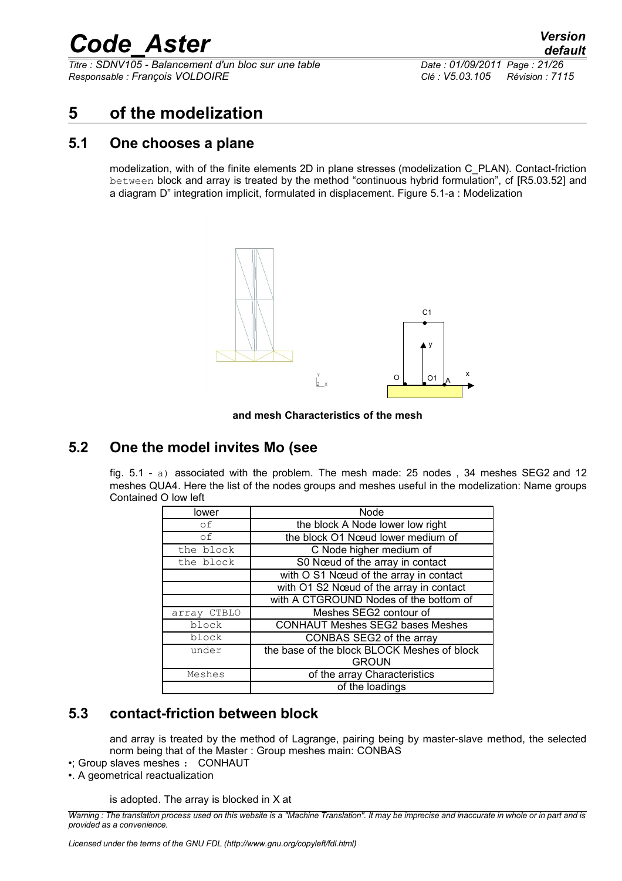*Titre : SDNV105 - Balancement d'un bloc sur une table Date : 01/09/2011 Page : 21/26 Responsable : François VOLDOIRE Clé : V5.03.105 Révision : 7115*

### **5 of the modelization**

### **5.1 One chooses a plane**

modelization, with of the finite elements 2D in plane stresses (modelization C\_PLAN). Contact-friction between block and array is treated by the method "continuous hybrid formulation", cf [R5.03.52] and a diagram D" integration implicit, formulated in displacement. Figure 5.1-a : Modelization



#### **and mesh Characteristics of the mesh**

### **5.2 One the model invites Mo (see**

fig. 5.1 - a) associated with the problem. The mesh made: 25 nodes , 34 meshes SEG2 and 12 meshes QUA4. Here the list of the nodes groups and meshes useful in the modelization: Name groups Contained O low left

| lower       | Node                                        |
|-------------|---------------------------------------------|
| оf          | the block A Node lower low right            |
| of          | the block O1 Nœud lower medium of           |
| the block   | C Node higher medium of                     |
| the block   | S0 Nœud of the array in contact             |
|             | with O S1 Nœud of the array in contact      |
|             | with O1 S2 Nœud of the array in contact     |
|             | with A CTGROUND Nodes of the bottom of      |
| array CTBLO | Meshes SEG2 contour of                      |
| block       | <b>CONHAUT Meshes SEG2 bases Meshes</b>     |
| block       | CONBAS SEG2 of the array                    |
| under       | the base of the block BLOCK Meshes of block |
|             | <b>GROUN</b>                                |
| Meshes      | of the array Characteristics                |
|             | of the loadings                             |

### **5.3 contact-friction between block**

and array is treated by the method of Lagrange, pairing being by master-slave method, the selected norm being that of the Master : Group meshes main: CONBAS

- •; Group slaves meshes : CONHAUT
- •. A geometrical reactualization

is adopted. The array is blocked in X at

*Warning : The translation process used on this website is a "Machine Translation". It may be imprecise and inaccurate in whole or in part and is provided as a convenience.*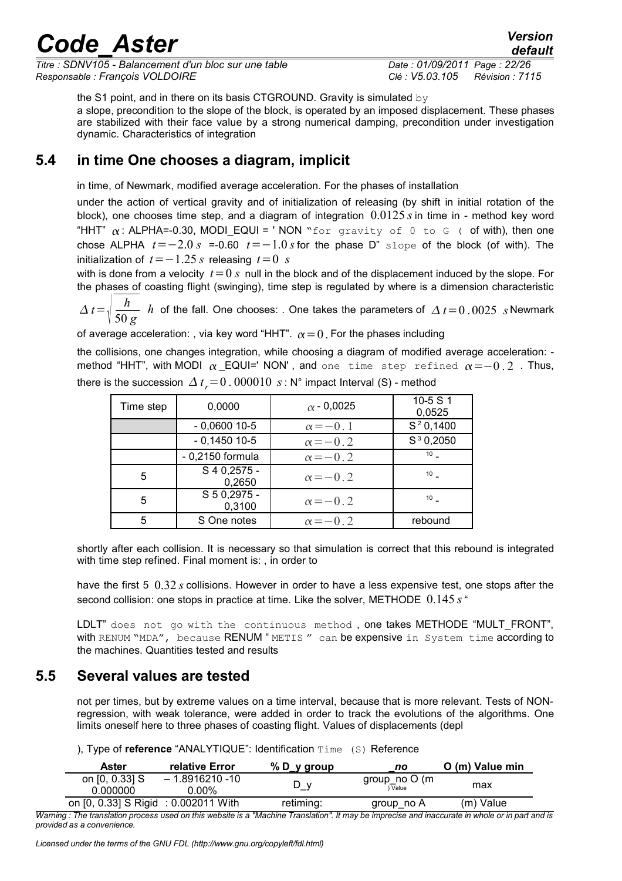*Titre : SDNV105 - Balancement d'un bloc sur une table Date : 01/09/2011 Page : 22/26 Responsable : François VOLDOIRE Clé : V5.03.105 Révision : 7115*

*default*

the S1 point, and in there on its basis CTGROUND. Gravity is simulated by a slope, precondition to the slope of the block, is operated by an imposed displacement. These phases are stabilized with their face value by a strong numerical damping, precondition under investigation dynamic. Characteristics of integration

### **5.4 in time One chooses a diagram, implicit**

in time, of Newmark, modified average acceleration. For the phases of installation

under the action of vertical gravity and of initialization of releasing (by shift in initial rotation of the block), one chooses time step, and a diagram of integration 0.0125 *s*in time in - method key word "HHT"  $\alpha$ : ALPHA=-0.30, MODI EQUI = ' NON "for gravity of 0 to G ( of with), then one chose ALPHA  $t=-2.0 s =0.60 t =0.60 t =0.0 s$  for the phase D" slope of the block (of with). The initialization of  $t=-1.25$  *s* releasing  $t=0$  *s* 

with is done from a velocity  $t=0$  *s* null in the block and of the displacement induced by the slope. For the phases of coasting flight (swinging), time step is regulated by where is a dimension characteristic

 $\Delta t$ =  $\sqrt{20}$ *h*  $\frac{h}{50 \text{ g}}$  *h* of the fall. One chooses: . One takes the parameters of  $\Delta t = 0.0025$  *s* Newmark

of average acceleration: , via key word "HHT".  $\alpha = 0$ . For the phases including

the collisions, one changes integration, while choosing a diagram of modified average acceleration: method "HHT", with MODI  $\alpha$  EQUI=' NON', and one time step refined  $\alpha=-0$  . 2. Thus, there is the succession  $\varDelta$   $t_{r}{=}0$  .  $000010\,\,s$  : N° impact Interval (S) - method

| Time step | 0,0000                   | $\alpha$ - 0,0025 | 10-5 S 1<br>0,0525    |
|-----------|--------------------------|-------------------|-----------------------|
|           | $-0,0600$ 10-5           | $\alpha = -0.1$   | $S^2$ 0,1400          |
|           | $-0,1450$ 10-5           | $\alpha = -0.2$   | S <sup>3</sup> 0,2050 |
|           | $-0,2150$ formula        | $\alpha = -0.2$   | 10                    |
| 5         | $S$ 4 0,2575 -<br>0,2650 | $\alpha = -0.2$   | $10$ $-$              |
| 5         | S 5 0,2975 -<br>0,3100   | $\alpha = -0.2$   | $10$ $-$              |
| 5         | S One notes              | $\alpha = -0.2$   | rebound               |

shortly after each collision. It is necessary so that simulation is correct that this rebound is integrated with time step refined. Final moment is: , in order to

have the first 5 0.32 *s* collisions. However in order to have a less expensive test, one stops after the second collision: one stops in practice at time. Like the solver, METHODE 0.145 *s*"

LDLT" does not go with the continuous method, one takes METHODE "MULT FRONT", with RENUM "MDA", because RENUM "METIS" can be expensive in System time according to the machines. Quantities tested and results

### **5.5 Several values are tested**

not per times, but by extreme values on a time interval, because that is more relevant. Tests of NONregression, with weak tolerance, were added in order to track the evolutions of the algorithms. One limits oneself here to three phases of coasting flight. Values of displacements (depl

), Type of **reference** "ANALYTIQUE": Identification Time (S) Reference

| Aster                                | relative Error  | % D_y group | no            | O (m) Value min |
|--------------------------------------|-----------------|-------------|---------------|-----------------|
| on [0, 0.33] S                       | – 1.8916210 -10 | Dγ          | group_no O (m | max             |
| 0.000000                             | $0.00\%$        |             | Value         |                 |
| on [0, 0.33] S Rigid : 0.002011 With |                 | retiming:   | group no A    | (m) Value       |

*Warning : The translation process used on this website is a "Machine Translation". It may be imprecise and inaccurate in whole or in part and is provided as a convenience.*

*Licensed under the terms of the GNU FDL (http://www.gnu.org/copyleft/fdl.html)*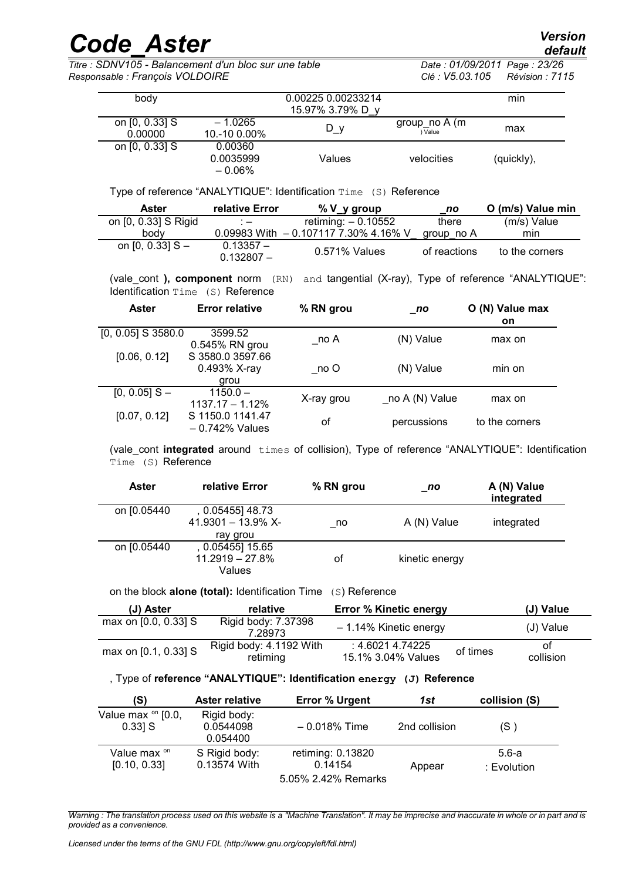*Titre : SDNV105 - Balancement d'un bloc sur une table Date : 01/09/2011 Page : 23/26 Responsable : François VOLDOIRE Clé : V5.03.105 Révision : 7115*

| body                         |                                                                                                                               | 0.00225 0.00233214<br>15.97% 3.79% D_y                          |                                                    | min                       |
|------------------------------|-------------------------------------------------------------------------------------------------------------------------------|-----------------------------------------------------------------|----------------------------------------------------|---------------------------|
| on [0, 0.33] S<br>0.00000    | $-1.0265$<br>10.-10 0.00%                                                                                                     | $D_y$                                                           | group_no A (m<br>$)\overline{\text{Value}}$        | max                       |
| on [0, 0.33] S               | 0.00360<br>0.0035999<br>$-0.06%$                                                                                              | Values                                                          | velocities                                         | (quickly),                |
|                              | Type of reference "ANALYTIQUE": Identification Time (S) Reference                                                             |                                                                 |                                                    |                           |
| <b>Aster</b>                 | relative Error                                                                                                                | % V_y group                                                     | no                                                 | O (m/s) Value min         |
| on [0, 0.33] S Rigid<br>body |                                                                                                                               | retiming: $-0.10552$<br>0.09983 With $-$ 0.107117 7.30% 4.16% V | there<br>group_no A                                | (m/s) Value<br>min        |
| on $[0, 0.33]$ S $-$         | $0.13357 -$<br>$0.132807 -$                                                                                                   | 0.571% Values                                                   | of reactions                                       | to the corners            |
|                              | (vale_cont), component norm (RN) and tangential (X-ray), Type of reference "ANALYTIQUE":<br>Identification Time (S) Reference |                                                                 |                                                    |                           |
| <b>Aster</b>                 | <b>Error relative</b>                                                                                                         | % RN grou                                                       | $\overline{\phantom{a}}$ no                        | O (N) Value max<br>on     |
| $[0, 0.05]$ S 3580.0         | 3599.52<br>0.545% RN grou                                                                                                     | $\_noA$                                                         | (N) Value                                          | max on                    |
| [0.06, 0.12]                 | S 3580.0 3597.66<br>0.493% X-ray<br>grou                                                                                      | $\_no$ O                                                        | (N) Value                                          | min on                    |
| $[0, 0.05]$ S –              | $1150.0 -$<br>$1137.17 - 1.12%$                                                                                               | X-ray grou                                                      | $\_$ no A (N) Value                                | max on                    |
| [0.07, 0.12]                 | S 1150.0 1141.47<br>$-0.742%$ Values                                                                                          | of                                                              | percussions                                        | to the corners            |
| Time (S) Reference           | (vale_cont integrated around times of collision), Type of reference "ANALYTIQUE": Identification                              |                                                                 |                                                    |                           |
| <b>Aster</b>                 | relative Error                                                                                                                | % RN grou                                                       | $\overline{\phantom{a}}$ no                        | A (N) Value<br>integrated |
| on [0.05440                  | $, 0.05455$ ] 48.73<br>41.9301 - 13.9% X-<br>ray grou                                                                         | $\overline{\phantom{0}}$ no                                     | A (N) Value                                        | integrated                |
| on [0.05440                  | , 0.05455] 15.65<br>11.2919 - 27.8%<br>Values                                                                                 | of                                                              | kinetic energy                                     |                           |
|                              | on the block alone (total): Identification Time                                                                               | $(s)$ Reference                                                 |                                                    |                           |
| (J) Aster                    | relative                                                                                                                      |                                                                 | <b>Error % Kinetic energy</b>                      | (J) Value                 |
| max on [0.0, 0.33] S         | Rigid body: 7.37398<br>7.28973                                                                                                |                                                                 | - 1.14% Kinetic energy                             | (J) Value                 |
| max on [0.1, 0.33] S         | Rigid body: 4.1192 With<br>retiming                                                                                           |                                                                 | : 4.6021 4.74225<br>of times<br>15.1% 3.04% Values | of<br>collision           |
|                              | Type of reference "ANALYTIQUE": Identification energy (J) Reference                                                           |                                                                 |                                                    |                           |

| (S)                                     | <b>Aster relative</b>                | <b>Error % Urgent</b>                               | 1st           | collision (S)              |
|-----------------------------------------|--------------------------------------|-----------------------------------------------------|---------------|----------------------------|
| Value max $\circ$ [0.0,<br>$0.33$ ] S   | Rigid body:<br>0.0544098<br>0.054400 | $-0.018\%$ Time                                     | 2nd collision | (S)                        |
| Value max <sup>on</sup><br>[0.10, 0.33] | S Rigid body:<br>0.13574 With        | retiming: 0.13820<br>0.14154<br>5.05% 2.42% Remarks | Appear        | $5.6 - a$<br>$:$ Evolution |

*Warning : The translation process used on this website is a "Machine Translation". It may be imprecise and inaccurate in whole or in part and is provided as a convenience.*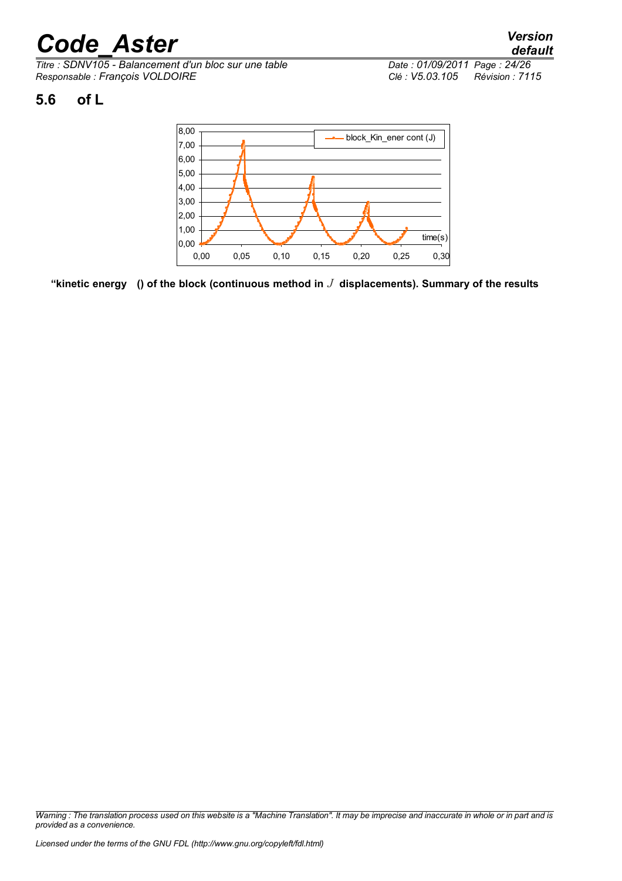# *Code\_Aster Version*<br>Titre : SDNV105 - Balancement d'un bloc sur une table *Date : 01/09/2011 Page : 24/26*

*Titre : SDNV105 - Balancement d'un bloc sur une table Date : 01/09/2011 Page : 24/26 Responsable : François VOLDOIRE Clé : V5.03.105 Révision : 7115*

*default*

### **5.6 of L**



**"kinetic energy () of the block (continuous method in** *J* **displacements). Summary of the results**

*Warning : The translation process used on this website is a "Machine Translation". It may be imprecise and inaccurate in whole or in part and is provided as a convenience.*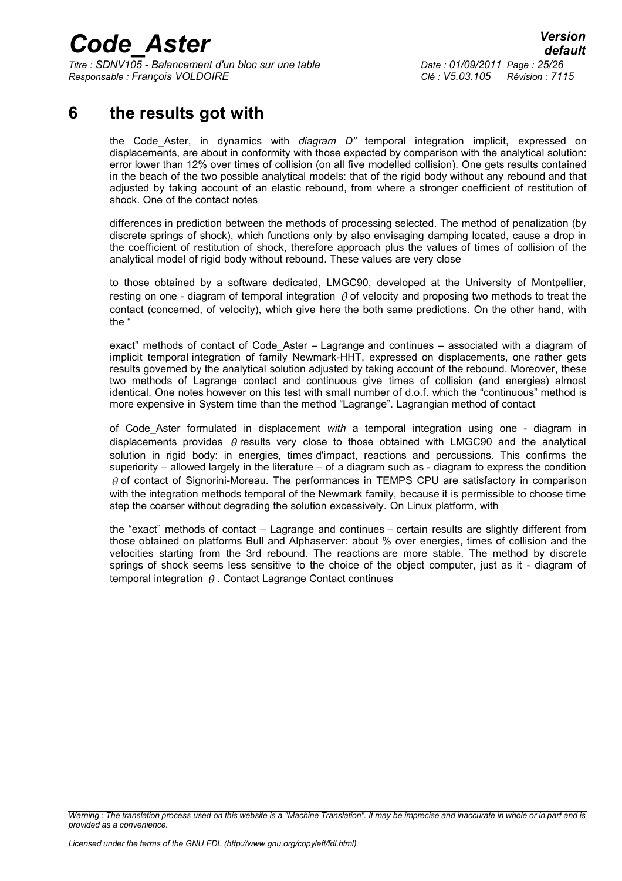*Titre : SDNV105 - Balancement d'un bloc sur une table Date : 01/09/2011 Page : 25/26 Responsable : François VOLDOIRE Clé : V5.03.105 Révision : 7115*

### **6 the results got with**

the Code\_Aster, in dynamics with *diagram D"* temporal integration implicit, expressed on displacements, are about in conformity with those expected by comparison with the analytical solution: error lower than 12% over times of collision (on all five modelled collision). One gets results contained in the beach of the two possible analytical models: that of the rigid body without any rebound and that adjusted by taking account of an elastic rebound, from where a stronger coefficient of restitution of shock. One of the contact notes

differences in prediction between the methods of processing selected. The method of penalization (by discrete springs of shock), which functions only by also envisaging damping located, cause a drop in the coefficient of restitution of shock, therefore approach plus the values of times of collision of the analytical model of rigid body without rebound. These values are very close

to those obtained by a software dedicated, LMGC90, developed at the University of Montpellier, resting on one - diagram of temporal integration  $\theta$  of velocity and proposing two methods to treat the contact (concerned, of velocity), which give here the both same predictions. On the other hand, with the "

exact" methods of contact of Code\_Aster – Lagrange and continues *–* associated with a diagram of implicit temporal integration of family Newmark-HHT, expressed on displacements, one rather gets results governed by the analytical solution adjusted by taking account of the rebound. Moreover, these two methods of Lagrange contact and continuous give times of collision (and energies) almost identical. One notes however on this test with small number of d.o.f. which the "continuous" method is more expensive in System time than the method "Lagrange". Lagrangian method of contact

of Code\_Aster formulated in displacement *with* a temporal integration using one - diagram in displacements provides  $\theta$  results very close to those obtained with LMGC90 and the analytical solution in rigid body: in energies, times d'impact, reactions and percussions. This confirms the superiority – allowed largely in the literature – of a diagram such as - diagram to express the condition  $\theta$  of contact of Signorini-Moreau. The performances in TEMPS CPU are satisfactory in comparison with the integration methods temporal of the Newmark family, because it is permissible to choose time step the coarser without degrading the solution excessively. On Linux platform, with

the "exact" methods of contact – Lagrange and continues – certain results are slightly different from those obtained on platforms Bull and Alphaserver: about % over energies, times of collision and the velocities starting from the 3rd rebound. The reactions are more stable. The method by discrete springs of shock seems less sensitive to the choice of the object computer, just as it - diagram of temporal integration  $\theta$ . Contact Lagrange Contact continues

*Warning : The translation process used on this website is a "Machine Translation". It may be imprecise and inaccurate in whole or in part and is provided as a convenience.*